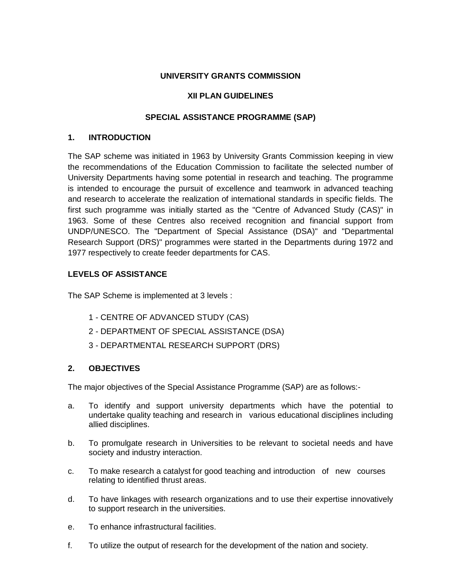## **UNIVERSITY GRANTS COMMISSION**

## **XII PLAN GUIDELINES**

## **SPECIAL ASSISTANCE PROGRAMME (SAP)**

## **1. INTRODUCTION**

The SAP scheme was initiated in 1963 by University Grants Commission keeping in view the recommendations of the Education Commission to facilitate the selected number of University Departments having some potential in research and teaching. The programme is intended to encourage the pursuit of excellence and teamwork in advanced teaching and research to accelerate the realization of international standards in specific fields. The first such programme was initially started as the "Centre of Advanced Study (CAS)" in 1963. Some of these Centres also received recognition and financial support from UNDP/UNESCO. The "Department of Special Assistance (DSA)" and "Departmental Research Support (DRS)" programmes were started in the Departments during 1972 and 1977 respectively to create feeder departments for CAS.

# **LEVELS OF ASSISTANCE**

The SAP Scheme is implemented at 3 levels :

- 1 CENTRE OF ADVANCED STUDY (CAS)
- 2 DEPARTMENT OF SPECIAL ASSISTANCE (DSA)
- 3 DEPARTMENTAL RESEARCH SUPPORT (DRS)

# **2. OBJECTIVES**

The major objectives of the Special Assistance Programme (SAP) are as follows:-

- a. To identify and support university departments which have the potential to undertake quality teaching and research in various educational disciplines including allied disciplines.
- b. To promulgate research in Universities to be relevant to societal needs and have society and industry interaction.
- c. To make research a catalyst for good teaching and introduction of new courses relating to identified thrust areas.
- d. To have linkages with research organizations and to use their expertise innovatively to support research in the universities.
- e. To enhance infrastructural facilities.
- f. To utilize the output of research for the development of the nation and society.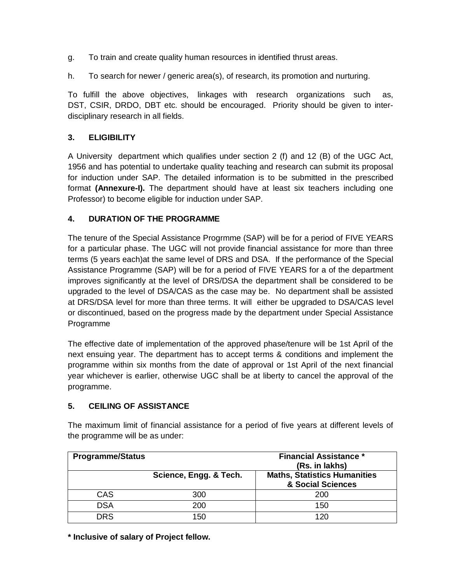- g. To train and create quality human resources in identified thrust areas.
- h. To search for newer / generic area(s), of research, its promotion and nurturing.

To fulfill the above objectives, linkages with research organizations such as, DST, CSIR, DRDO, DBT etc. should be encouraged. Priority should be given to interdisciplinary research in all fields.

# **3. ELIGIBILITY**

A University department which qualifies under section 2 (f) and 12 (B) of the UGC Act, 1956 and has potential to undertake quality teaching and research can submit its proposal for induction under SAP. The detailed information is to be submitted in the prescribed format **(Annexure-I).** The department should have at least six teachers including one Professor) to become eligible for induction under SAP.

# **4. DURATION OF THE PROGRAMME**

The tenure of the Special Assistance Progrmme (SAP) will be for a period of FIVE YEARS for a particular phase. The UGC will not provide financial assistance for more than three terms (5 years each)at the same level of DRS and DSA. If the performance of the Special Assistance Programme (SAP) will be for a period of FIVE YEARS for a of the department improves significantly at the level of DRS/DSA the department shall be considered to be upgraded to the level of DSA/CAS as the case may be. No department shall be assisted at DRS/DSA level for more than three terms. It will either be upgraded to DSA/CAS level or discontinued, based on the progress made by the department under Special Assistance Programme

The effective date of implementation of the approved phase/tenure will be 1st April of the next ensuing year. The department has to accept terms & conditions and implement the programme within six months from the date of approval or 1st April of the next financial year whichever is earlier, otherwise UGC shall be at liberty to cancel the approval of the programme.

# **5. CEILING OF ASSISTANCE**

The maximum limit of financial assistance for a period of five years at different levels of the programme will be as under:

| <b>Programme/Status</b> |                        | <b>Financial Assistance *</b><br>(Rs. in lakhs)          |
|-------------------------|------------------------|----------------------------------------------------------|
|                         | Science, Engg. & Tech. | <b>Maths, Statistics Humanities</b><br>& Social Sciences |
| <b>CAS</b>              | 300                    | 200                                                      |
| <b>DSA</b>              | 200                    | 150                                                      |
| <b>DRS</b>              | 150                    | 120                                                      |

**\* Inclusive of salary of Project fellow.**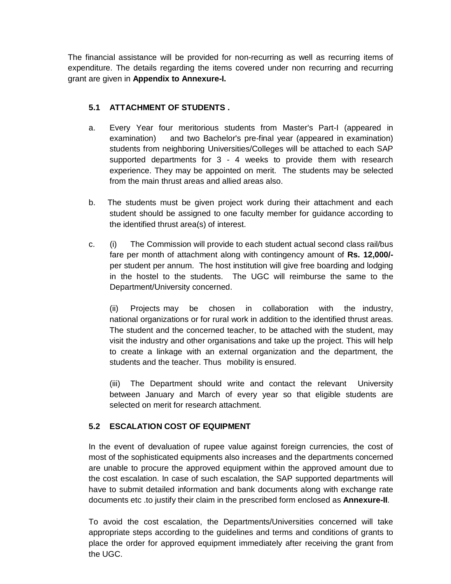The financial assistance will be provided for non-recurring as well as recurring items of expenditure. The details regarding the items covered under non recurring and recurring grant are given in **Appendix to Annexure-I.**

# **5.1 ATTACHMENT OF STUDENTS .**

- a. Every Year four meritorious students from Master's Part-I (appeared in examination) and two Bachelor's pre-final year (appeared in examination) students from neighboring Universities/Colleges will be attached to each SAP supported departments for 3 - 4 weeks to provide them with research experience. They may be appointed on merit. The students may be selected from the main thrust areas and allied areas also.
- b. The students must be given project work during their attachment and each student should be assigned to one faculty member for guidance according to the identified thrust area(s) of interest.
- c. (i) The Commission will provide to each student actual second class rail/bus fare per month of attachment along with contingency amount of **Rs. 12,000/** per student per annum. The host institution will give free boarding and lodging in the hostel to the students. The UGC will reimburse the same to the Department/University concerned.

(ii) Projects may be chosen in collaboration with the industry, national organizations or for rural work in addition to the identified thrust areas. The student and the concerned teacher, to be attached with the student, may visit the industry and other organisations and take up the project. This will help to create a linkage with an external organization and the department, the students and the teacher. Thus mobility is ensured.

(iii) The Department should write and contact the relevant University between January and March of every year so that eligible students are selected on merit for research attachment.

# **5.2 ESCALATION COST OF EQUIPMENT**

In the event of devaluation of rupee value against foreign currencies, the cost of most of the sophisticated equipments also increases and the departments concerned are unable to procure the approved equipment within the approved amount due to the cost escalation. In case of such escalation, the SAP supported departments will have to submit detailed information and bank documents along with exchange rate documents etc .to justify their claim in the prescribed form enclosed as **Annexure-II**.

To avoid the cost escalation, the Departments/Universities concerned will take appropriate steps according to the guidelines and terms and conditions of grants to place the order for approved equipment immediately after receiving the grant from the UGC.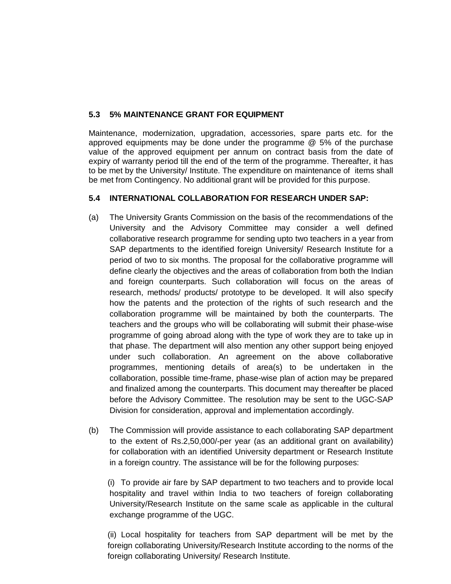# **5.3 5% MAINTENANCE GRANT FOR EQUIPMENT**

Maintenance, modernization, upgradation, accessories, spare parts etc. for the approved equipments may be done under the programme @ 5% of the purchase value of the approved equipment per annum on contract basis from the date of expiry of warranty period till the end of the term of the programme. Thereafter, it has to be met by the University/ Institute. The expenditure on maintenance of items shall be met from Contingency. No additional grant will be provided for this purpose.

# **5.4 INTERNATIONAL COLLABORATION FOR RESEARCH UNDER SAP:**

- (a) The University Grants Commission on the basis of the recommendations of the University and the Advisory Committee may consider a well defined collaborative research programme for sending upto two teachers in a year from SAP departments to the identified foreign University/ Research Institute for a period of two to six months. The proposal for the collaborative programme will define clearly the objectives and the areas of collaboration from both the Indian and foreign counterparts. Such collaboration will focus on the areas of research, methods/ products/ prototype to be developed. It will also specify how the patents and the protection of the rights of such research and the collaboration programme will be maintained by both the counterparts. The teachers and the groups who will be collaborating will submit their phase-wise programme of going abroad along with the type of work they are to take up in that phase. The department will also mention any other support being enjoyed under such collaboration. An agreement on the above collaborative programmes, mentioning details of area(s) to be undertaken in the collaboration, possible time-frame, phase-wise plan of action may be prepared and finalized among the counterparts. This document may thereafter be placed before the Advisory Committee. The resolution may be sent to the UGC-SAP Division for consideration, approval and implementation accordingly.
- (b) The Commission will provide assistance to each collaborating SAP department to the extent of Rs.2,50,000/-per year (as an additional grant on availability) for collaboration with an identified University department or Research Institute in a foreign country. The assistance will be for the following purposes:

(i) To provide air fare by SAP department to two teachers and to provide local hospitality and travel within India to two teachers of foreign collaborating University/Research Institute on the same scale as applicable in the cultural exchange programme of the UGC.

(ii) Local hospitality for teachers from SAP department will be met by the foreign collaborating University/Research Institute according to the norms of the foreign collaborating University/ Research Institute.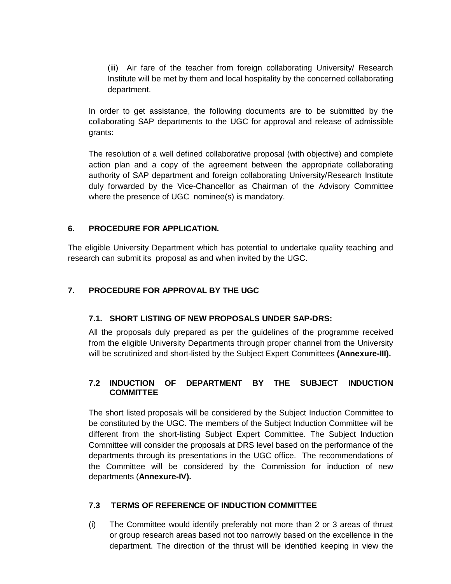(iii) Air fare of the teacher from foreign collaborating University/ Research Institute will be met by them and local hospitality by the concerned collaborating department.

In order to get assistance, the following documents are to be submitted by the collaborating SAP departments to the UGC for approval and release of admissible grants:

The resolution of a well defined collaborative proposal (with objective) and complete action plan and a copy of the agreement between the appropriate collaborating authority of SAP department and foreign collaborating University/Research Institute duly forwarded by the Vice-Chancellor as Chairman of the Advisory Committee where the presence of UGC nominee(s) is mandatory.

## **6. PROCEDURE FOR APPLICATION.**

The eligible University Department which has potential to undertake quality teaching and research can submit its proposal as and when invited by the UGC.

# **7. PROCEDURE FOR APPROVAL BY THE UGC**

## **7.1. SHORT LISTING OF NEW PROPOSALS UNDER SAP-DRS:**

All the proposals duly prepared as per the guidelines of the programme received from the eligible University Departments through proper channel from the University will be scrutinized and short-listed by the Subject Expert Committees **(Annexure-III).**

## **7.2 INDUCTION OF DEPARTMENT BY THE SUBJECT INDUCTION COMMITTEE**

The short listed proposals will be considered by the Subject Induction Committee to be constituted by the UGC. The members of the Subject Induction Committee will be different from the short-listing Subject Expert Committee. The Subject Induction Committee will consider the proposals at DRS level based on the performance of the departments through its presentations in the UGC office. The recommendations of the Committee will be considered by the Commission for induction of new departments (**Annexure-IV).**

#### **7.3 TERMS OF REFERENCE OF INDUCTION COMMITTEE**

(i) The Committee would identify preferably not more than 2 or 3 areas of thrust or group research areas based not too narrowly based on the excellence in the department. The direction of the thrust will be identified keeping in view the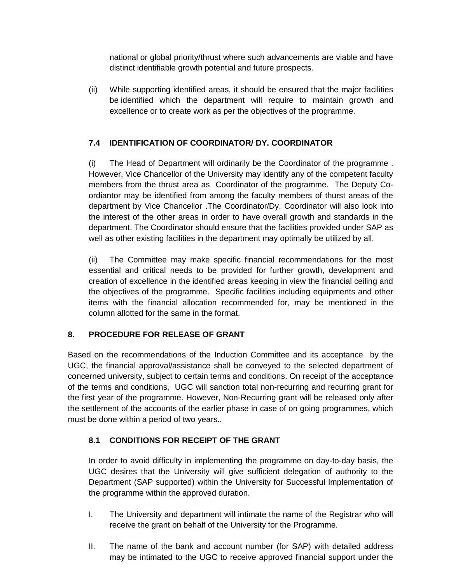national or global priority/thrust where such advancements are viable and have distinct identifiable growth potential and future prospects.

(ii) While supporting identified areas, it should be ensured that the major facilities be identified which the department will require to maintain growth and excellence or to create work as per the objectives of the programme.

# **7.4 IDENTIFICATION OF COORDINATOR/ DY. COORDINATOR**

(i) The Head of Department will ordinarily be the Coordinator of the programme . However, Vice Chancellor of the University may identify any of the competent faculty members from the thrust area as Coordinator of the programme. The Deputy Coordiantor may be identified from among the faculty members of thurst areas of the department by Vice Chancellor .The Coordinator/Dy. Coordinator will also look into the interest of the other areas in order to have overall growth and standards in the department. The Coordinator should ensure that the facilities provided under SAP as well as other existing facilities in the department may optimally be utilized by all.

(ii) The Committee may make specific financial recommendations for the most essential and critical needs to be provided for further growth, development and creation of excellence in the identified areas keeping in view the financial ceiling and the objectives of the programme. Specific facilities including equipments and other items with the financial allocation recommended for, may be mentioned in the column allotted for the same in the format.

# **8. PROCEDURE FOR RELEASE OF GRANT**

Based on the recommendations of the Induction Committee and its acceptance by the UGC, the financial approval/assistance shall be conveyed to the selected department of concerned university, subject to certain terms and conditions. On receipt of the acceptance of the terms and conditions, UGC will sanction total non-recurring and recurring grant for the first year of the programme. However, Non-Recurring grant will be released only after the settlement of the accounts of the earlier phase in case of on going programmes, which must be done within a period of two years..

# **8.1 CONDITIONS FOR RECEIPT OF THE GRANT**

In order to avoid difficulty in implementing the programme on day-to-day basis, the UGC desires that the University will give sufficient delegation of authority to the Department (SAP supported) within the University for Successful Implementation of the programme within the approved duration.

- I. The University and department will intimate the name of the Registrar who will receive the grant on behalf of the University for the Programme.
- II. The name of the bank and account number (for SAP) with detailed address may be intimated to the UGC to receive approved financial support under the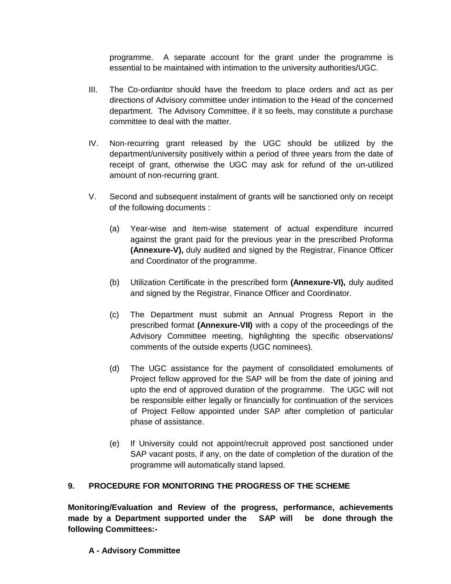programme. A separate account for the grant under the programme is essential to be maintained with intimation to the university authorities/UGC.

- III. The Co-ordiantor should have the freedom to place orders and act as per directions of Advisory committee under intimation to the Head of the concerned department. The Advisory Committee, if it so feels, may constitute a purchase committee to deal with the matter.
- IV. Non-recurring grant released by the UGC should be utilized by the department/university positively within a period of three years from the date of receipt of grant, otherwise the UGC may ask for refund of the un-utilized amount of non-recurring grant.
- V. Second and subsequent instalment of grants will be sanctioned only on receipt of the following documents :
	- (a) Year-wise and item-wise statement of actual expenditure incurred against the grant paid for the previous year in the prescribed Proforma **(Annexure-V),** duly audited and signed by the Registrar, Finance Officer and Coordinator of the programme.
	- (b) Utilization Certificate in the prescribed form **(Annexure-VI),** duly audited and signed by the Registrar, Finance Officer and Coordinator.
	- (c) The Department must submit an Annual Progress Report in the prescribed format **(Annexure-VII)** with a copy of the proceedings of the Advisory Committee meeting, highlighting the specific observations/ comments of the outside experts (UGC nominees).
	- (d) The UGC assistance for the payment of consolidated emoluments of Project fellow approved for the SAP will be from the date of joining and upto the end of approved duration of the programme. The UGC will not be responsible either legally or financially for continuation of the services of Project Fellow appointed under SAP after completion of particular phase of assistance.
	- (e) If University could not appoint/recruit approved post sanctioned under SAP vacant posts, if any, on the date of completion of the duration of the programme will automatically stand lapsed.

# **9. PROCEDURE FOR MONITORING THE PROGRESS OF THE SCHEME**

**Monitoring/Evaluation and Review of the progress, performance, achievements made by a Department supported under the SAP will be done through the following Committees:-**

# **A - Advisory Committee**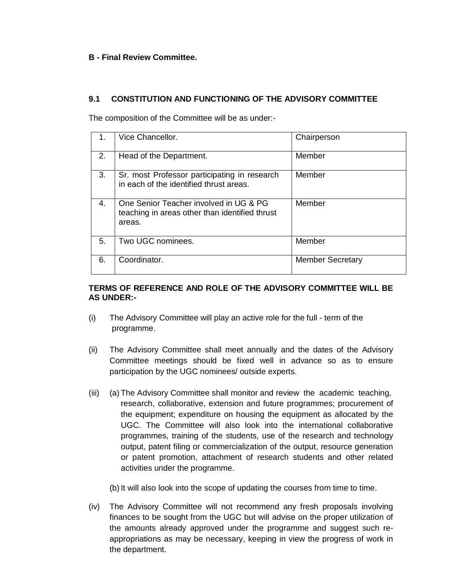## **B - Final Review Committee.**

## **9.1 CONSTITUTION AND FUNCTIONING OF THE ADVISORY COMMITTEE**

The composition of the Committee will be as under:-

| 1. | Vice Chancellor.                                                                                   | Chairperson             |
|----|----------------------------------------------------------------------------------------------------|-------------------------|
| 2. | Head of the Department.                                                                            | Member                  |
| 3. | Sr. most Professor participating in research<br>in each of the identified thrust areas.            | Member                  |
| 4. | One Senior Teacher involved in UG & PG<br>teaching in areas other than identified thrust<br>areas. | Member                  |
| 5. | Two UGC nominees.                                                                                  | Member                  |
| 6. | Coordinator.                                                                                       | <b>Member Secretary</b> |

## **TERMS OF REFERENCE AND ROLE OF THE ADVISORY COMMITTEE WILL BE AS UNDER:-**

- (i) The Advisory Committee will play an active role for the full term of the programme.
- (ii) The Advisory Committee shall meet annually and the dates of the Advisory Committee meetings should be fixed well in advance so as to ensure participation by the UGC nominees/ outside experts.
- (iii) (a) The Advisory Committee shall monitor and review the academic teaching, research, collaborative, extension and future programmes; procurement of the equipment; expenditure on housing the equipment as allocated by the UGC. The Committee will also look into the international collaborative programmes, training of the students, use of the research and technology output, patent filing or commercialization of the output, resource generation or patent promotion, attachment of research students and other related activities under the programme.

(b) It will also look into the scope of updating the courses from time to time.

(iv) The Advisory Committee will not recommend any fresh proposals involving finances to be sought from the UGC but will advise on the proper utilization of the amounts already approved under the programme and suggest such reappropriations as may be necessary, keeping in view the progress of work in the department.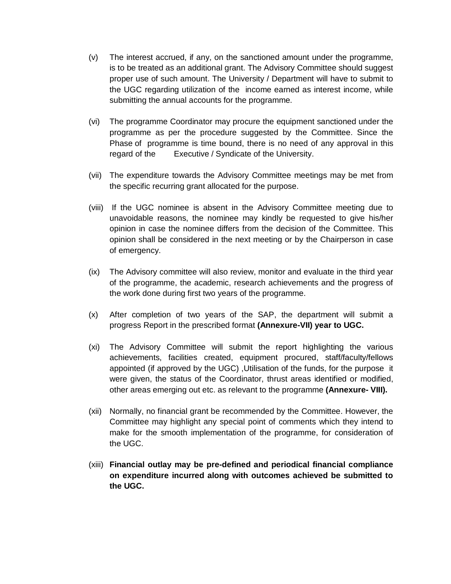- (v) The interest accrued, if any, on the sanctioned amount under the programme, is to be treated as an additional grant. The Advisory Committee should suggest proper use of such amount. The University / Department will have to submit to the UGC regarding utilization of the income earned as interest income, while submitting the annual accounts for the programme.
- (vi) The programme Coordinator may procure the equipment sanctioned under the programme as per the procedure suggested by the Committee. Since the Phase of programme is time bound, there is no need of any approval in this regard of the Executive / Syndicate of the University.
- (vii) The expenditure towards the Advisory Committee meetings may be met from the specific recurring grant allocated for the purpose.
- (viii) If the UGC nominee is absent in the Advisory Committee meeting due to unavoidable reasons, the nominee may kindly be requested to give his/her opinion in case the nominee differs from the decision of the Committee. This opinion shall be considered in the next meeting or by the Chairperson in case of emergency.
- (ix) The Advisory committee will also review, monitor and evaluate in the third year of the programme, the academic, research achievements and the progress of the work done during first two years of the programme.
- (x) After completion of two years of the SAP, the department will submit a progress Report in the prescribed format **(Annexure-VII) year to UGC.**
- (xi) The Advisory Committee will submit the report highlighting the various achievements, facilities created, equipment procured, staff/faculty/fellows appointed (if approved by the UGC) ,Utilisation of the funds, for the purpose it were given, the status of the Coordinator, thrust areas identified or modified, other areas emerging out etc. as relevant to the programme **(Annexure- VIII).**
- (xii) Normally, no financial grant be recommended by the Committee. However, the Committee may highlight any special point of comments which they intend to make for the smooth implementation of the programme, for consideration of the UGC.
- (xiii) **Financial outlay may be pre-defined and periodical financial compliance on expenditure incurred along with outcomes achieved be submitted to the UGC.**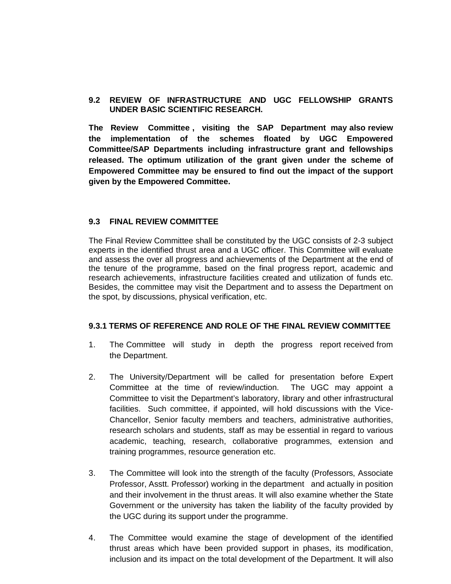## **9.2 REVIEW OF INFRASTRUCTURE AND UGC FELLOWSHIP GRANTS UNDER BASIC SCIENTIFIC RESEARCH.**

**The Review Committee , visiting the SAP Department may also review the implementation of the schemes floated by UGC Empowered Committee/SAP Departments including infrastructure grant and fellowships released. The optimum utilization of the grant given under the scheme of Empowered Committee may be ensured to find out the impact of the support given by the Empowered Committee.**

#### **9.3 FINAL REVIEW COMMITTEE**

The Final Review Committee shall be constituted by the UGC consists of 2-3 subject experts in the identified thrust area and a UGC officer. This Committee will evaluate and assess the over all progress and achievements of the Department at the end of the tenure of the programme, based on the final progress report, academic and research achievements, infrastructure facilities created and utilization of funds etc. Besides, the committee may visit the Department and to assess the Department on the spot, by discussions, physical verification, etc.

#### **9.3.1 TERMS OF REFERENCE AND ROLE OF THE FINAL REVIEW COMMITTEE**

- 1. The Committee will study in depth the progress report received from the Department.
- 2. The University/Department will be called for presentation before Expert Committee at the time of review/induction. The UGC may appoint a Committee to visit the Department's laboratory, library and other infrastructural facilities. Such committee, if appointed, will hold discussions with the Vice-Chancellor, Senior faculty members and teachers, administrative authorities, research scholars and students, staff as may be essential in regard to various academic, teaching, research, collaborative programmes, extension and training programmes, resource generation etc.
- 3. The Committee will look into the strength of the faculty (Professors, Associate Professor, Asstt. Professor) working in the department and actually in position and their involvement in the thrust areas. It will also examine whether the State Government or the university has taken the liability of the faculty provided by the UGC during its support under the programme.
- 4. The Committee would examine the stage of development of the identified thrust areas which have been provided support in phases, its modification, inclusion and its impact on the total development of the Department. It will also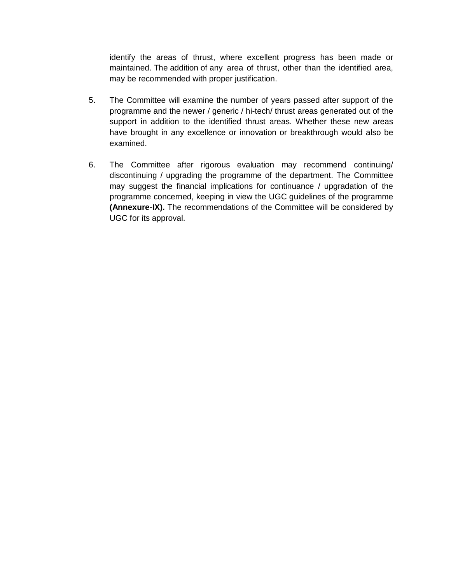identify the areas of thrust, where excellent progress has been made or maintained. The addition of any area of thrust, other than the identified area, may be recommended with proper justification.

- 5. The Committee will examine the number of years passed after support of the programme and the newer / generic / hi-tech/ thrust areas generated out of the support in addition to the identified thrust areas. Whether these new areas have brought in any excellence or innovation or breakthrough would also be examined.
- 6. The Committee after rigorous evaluation may recommend continuing/ discontinuing / upgrading the programme of the department. The Committee may suggest the financial implications for continuance / upgradation of the programme concerned, keeping in view the UGC guidelines of the programme **(Annexure-IX).** The recommendations of the Committee will be considered by UGC for its approval.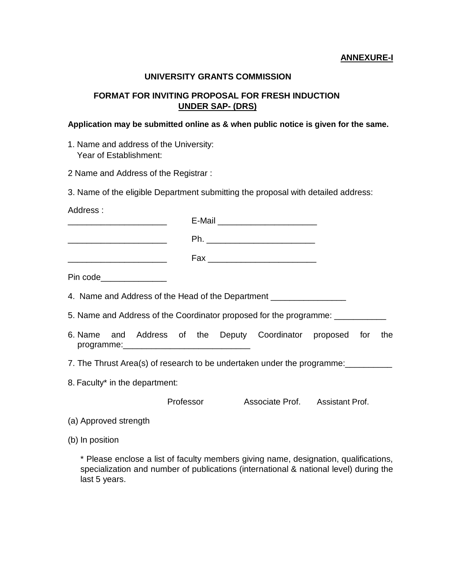#### **ANNEXURE-I**

#### **UNIVERSITY GRANTS COMMISSION**

# **FORMAT FOR INVITING PROPOSAL FOR FRESH INDUCTION UNDER SAP- (DRS)**

#### **Application may be submitted online as & when public notice is given for the same.**

1. Name and address of the University: Year of Establishment:

2 Name and Address of the Registrar :

3. Name of the eligible Department submitting the proposal with detailed address:

Address :

\_\_\_\_\_\_\_\_\_\_\_\_\_\_\_\_\_\_\_\_\_ E-Mail \_\_\_\_\_\_\_\_\_\_\_\_\_\_\_\_\_\_\_\_\_

 $Ph.$ 

\_\_\_\_\_\_\_\_\_\_\_\_\_\_\_\_\_\_\_\_\_ Fax \_\_\_\_\_\_\_\_\_\_\_\_\_\_\_\_\_\_\_\_\_\_\_

Pin code

4. Name and Address of the Head of the Department

5. Name and Address of the Coordinator proposed for the programme: \_\_\_\_\_\_\_\_\_\_\_

- 6. Name and Address of the Deputy Coordinator proposed for the programme:\_\_\_\_\_\_\_\_\_\_\_\_\_\_\_\_\_\_\_\_\_\_\_\_\_\_\_
- 7. The Thrust Area(s) of research to be undertaken under the programme:
- 8. Faculty\* in the department:

Professor Associate Prof. Assistant Prof.

- (a) Approved strength
- (b) In position

\* Please enclose a list of faculty members giving name, designation, qualifications, specialization and number of publications (international & national level) during the last 5 years.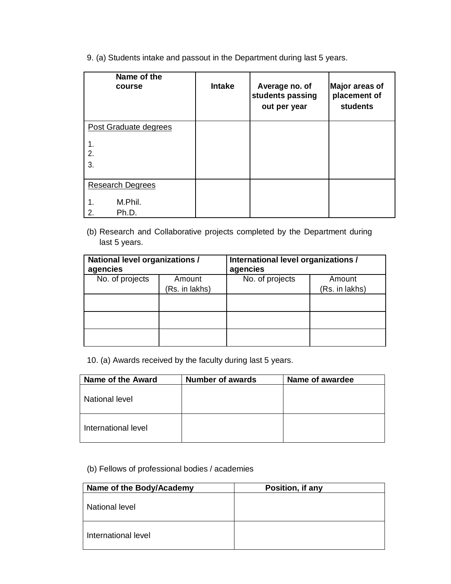9. (a) Students intake and passout in the Department during last 5 years.

| Name of the<br>course   | <b>Intake</b> | Average no. of<br>students passing<br>out per year | Major areas of<br>placement of<br><b>students</b> |
|-------------------------|---------------|----------------------------------------------------|---------------------------------------------------|
| Post Graduate degrees   |               |                                                    |                                                   |
|                         |               |                                                    |                                                   |
| 2.<br>3.                |               |                                                    |                                                   |
|                         |               |                                                    |                                                   |
| <b>Research Degrees</b> |               |                                                    |                                                   |
| M.Phil.                 |               |                                                    |                                                   |
| 2.<br>Ph.D.             |               |                                                    |                                                   |

(b) Research and Collaborative projects completed by the Department during last 5 years.

| National level organizations /<br>agencies |                | International level organizations /<br>agencies |                |  |  |
|--------------------------------------------|----------------|-------------------------------------------------|----------------|--|--|
| No. of projects                            | Amount         | No. of projects                                 | Amount         |  |  |
|                                            | (Rs. in lakhs) |                                                 | (Rs. in lakhs) |  |  |
|                                            |                |                                                 |                |  |  |
|                                            |                |                                                 |                |  |  |
|                                            |                |                                                 |                |  |  |

10. (a) Awards received by the faculty during last 5 years.

| Name of the Award   | <b>Number of awards</b> | Name of awardee |
|---------------------|-------------------------|-----------------|
| National level      |                         |                 |
| International level |                         |                 |

# (b) Fellows of professional bodies / academies

| Name of the Body/Academy | Position, if any |
|--------------------------|------------------|
| National level           |                  |
| International level      |                  |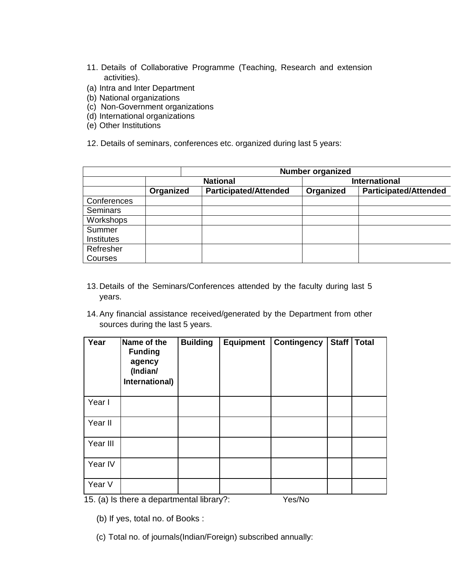- 11. Details of Collaborative Programme (Teaching, Research and extension activities).
- (a) Intra and Inter Department
- (b) National organizations
- (c) Non-Government organizations
- (d) International organizations
- (e) Other Institutions
- 12. Details of seminars, conferences etc. organized during last 5 years:

|                 |           |                              | <b>Number organized</b> |                              |  |  |
|-----------------|-----------|------------------------------|-------------------------|------------------------------|--|--|
|                 |           | <b>National</b>              |                         | <b>International</b>         |  |  |
|                 | Organized | <b>Participated/Attended</b> | Organized               | <b>Participated/Attended</b> |  |  |
| Conferences     |           |                              |                         |                              |  |  |
| <b>Seminars</b> |           |                              |                         |                              |  |  |
| Workshops       |           |                              |                         |                              |  |  |
| Summer          |           |                              |                         |                              |  |  |
| Institutes      |           |                              |                         |                              |  |  |
| Refresher       |           |                              |                         |                              |  |  |
| Courses         |           |                              |                         |                              |  |  |

- 13. Details of the Seminars/Conferences attended by the faculty during last 5 years.
- 14.Any financial assistance received/generated by the Department from other sources during the last 5 years.

| Year     | Name of the<br><b>Funding</b><br>agency<br>(Indian/<br>International) | <b>Building</b> | <b>Equipment</b> | <b>Contingency</b> | <b>Staff</b> | <b>Total</b> |
|----------|-----------------------------------------------------------------------|-----------------|------------------|--------------------|--------------|--------------|
| Year I   |                                                                       |                 |                  |                    |              |              |
| Year II  |                                                                       |                 |                  |                    |              |              |
| Year III |                                                                       |                 |                  |                    |              |              |
| Year IV  |                                                                       |                 |                  |                    |              |              |
| Year V   |                                                                       |                 |                  |                    |              |              |

15. (a) Is there a departmental library?: Yes/No

(b) If yes, total no. of Books :

(c) Total no. of journals(Indian/Foreign) subscribed annually: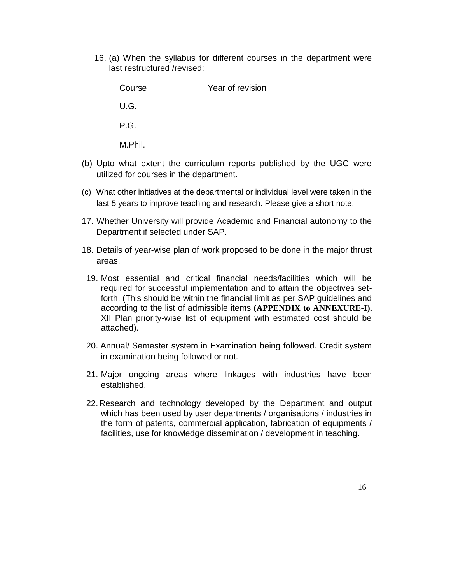16. (a) When the syllabus for different courses in the department were last restructured /revised:

Course Year of revision U.G. P.G. M.Phil. (b) Upto what extent the curriculum reports published by the UGC were utilized for courses in the department.

- (c) What other initiatives at the departmental or individual level were taken in the last 5 years to improve teaching and research. Please give a short note.
- 17. Whether University will provide Academic and Financial autonomy to the Department if selected under SAP.
- 18. Details of year-wise plan of work proposed to be done in the major thrust areas.
- 19. Most essential and critical financial needs/facilities which will be required for successful implementation and to attain the objectives setforth. (This should be within the financial limit as per SAP guidelines and according to the list of admissible items **(APPENDIX to ANNEXURE-I).** XII Plan priority-wise list of equipment with estimated cost should be attached).
- 20. Annual/ Semester system in Examination being followed. Credit system in examination being followed or not.
- 21. Major ongoing areas where linkages with industries have been established.
- 22.Research and technology developed by the Department and output which has been used by user departments / organisations / industries in the form of patents, commercial application, fabrication of equipments / facilities, use for knowledge dissemination / development in teaching.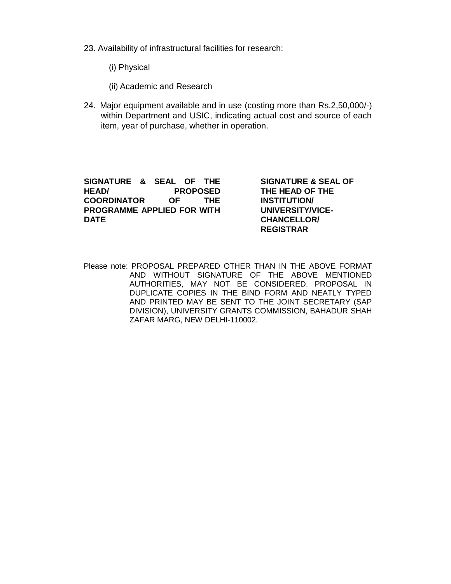- 23. Availability of infrastructural facilities for research:
	- (i) Physical
	- (ii) Academic and Research
- 24. Major equipment available and in use (costing more than Rs.2,50,000/-) within Department and USIC, indicating actual cost and source of each item, year of purchase, whether in operation.

**SIGNATURE & SEAL OF THE HEAD/ PROPOSED COORDINATOR OF THE PROGRAMME APPLIED FOR WITH DATE**

**SIGNATURE & SEAL OF THE HEAD OF THE INSTITUTION/ UNIVERSITY/VICE-CHANCELLOR/ REGISTRAR**

Please note: PROPOSAL PREPARED OTHER THAN IN THE ABOVE FORMAT AND WITHOUT SIGNATURE OF THE ABOVE MENTIONED AUTHORITIES, MAY NOT BE CONSIDERED. PROPOSAL IN DUPLICATE COPIES IN THE BIND FORM AND NEATLY TYPED AND PRINTED MAY BE SENT TO THE JOINT SECRETARY (SAP DIVISION), UNIVERSITY GRANTS COMMISSION, BAHADUR SHAH ZAFAR MARG, NEW DELHI-110002.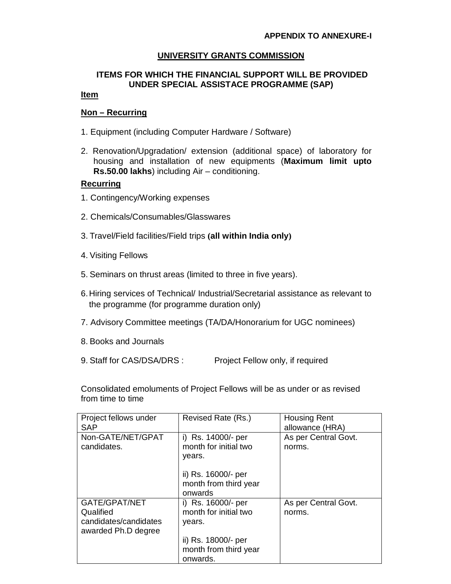## **UNIVERSITY GRANTS COMMISSION**

# **ITEMS FOR WHICH THE FINANCIAL SUPPORT WILL BE PROVIDED UNDER SPECIAL ASSISTACE PROGRAMME (SAP)**

## **Item**

## **Non – Recurring**

- 1. Equipment (including Computer Hardware / Software)
- 2. Renovation/Upgradation/ extension (additional space) of laboratory for housing and installation of new equipments (**Maximum limit upto Rs.50.00 lakhs**) including Air – conditioning.

#### **Recurring**

- 1. Contingency/Working expenses
- 2. Chemicals/Consumables/Glasswares
- 3. Travel/Field facilities/Field trips **(all within India only)**
- 4. Visiting Fellows
- 5. Seminars on thrust areas (limited to three in five years).
- 6.Hiring services of Technical/ Industrial/Secretarial assistance as relevant to the programme (for programme duration only)
- 7. Advisory Committee meetings (TA/DA/Honorarium for UGC nominees)
- 8. Books and Journals
- 9. Staff for CAS/DSA/DRS : Project Fellow only, if required

Consolidated emoluments of Project Fellows will be as under or as revised from time to time

| Project fellows under<br><b>SAP</b>                                        | Revised Rate (Rs.)                                       | <b>Housing Rent</b><br>allowance (HRA) |
|----------------------------------------------------------------------------|----------------------------------------------------------|----------------------------------------|
| Non-GATE/NET/GPAT<br>candidates.                                           | i) Rs. 14000/- per<br>month for initial two<br>years.    | As per Central Govt.<br>norms.         |
|                                                                            | ii) Rs. 16000/- per<br>month from third year<br>onwards  |                                        |
| GATE/GPAT/NET<br>Qualified<br>candidates/candidates<br>awarded Ph.D degree | i) Rs. 16000/- per<br>month for initial two<br>years.    | As per Central Govt.<br>norms.         |
|                                                                            | ii) Rs. 18000/- per<br>month from third year<br>onwards. |                                        |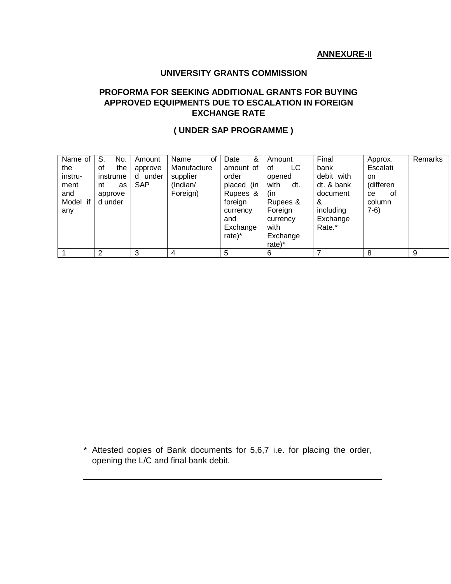# **ANNEXURE-II**

## **UNIVERSITY GRANTS COMMISSION**

# **PROFORMA FOR SEEKING ADDITIONAL GRANTS FOR BUYING APPROVED EQUIPMENTS DUE TO ESCALATION IN FOREIGN EXCHANGE RATE**

# **( UNDER SAP PROGRAMME )**

| Name of<br>the<br>instru-<br>ment<br>and<br>Model if<br>any | S.<br>No.<br>οf<br>the<br>instrume<br>nt<br>as<br>approve<br>d under | Amount<br>approve<br>under<br>d<br>SAP | Name<br>οf<br>Manufacture<br>supplier<br>(Indian/<br>Foreign) | &<br>Date<br>amount of<br>order<br>placed (in<br>Rupees &<br>foreign<br>currency<br>and<br>Exchange<br>$rate)^*$ | Amount<br>LC<br>οf<br>opened<br>with<br>dt.<br>(in<br>Rupees &<br>Foreign<br>currency<br>with<br>Exchange<br>$rate)^*$ | Final<br>bank<br>debit with<br>dt. & bank<br>document<br>&<br>including<br>Exchange<br>Rate.* | Approx.<br>Escalati<br>on.<br>(differen<br>0f<br>ce.<br>column<br>$7-6)$ | Remarks |
|-------------------------------------------------------------|----------------------------------------------------------------------|----------------------------------------|---------------------------------------------------------------|------------------------------------------------------------------------------------------------------------------|------------------------------------------------------------------------------------------------------------------------|-----------------------------------------------------------------------------------------------|--------------------------------------------------------------------------|---------|
|                                                             | 2                                                                    | 3                                      | 4                                                             | 5                                                                                                                | 6                                                                                                                      |                                                                                               | 8                                                                        | 9       |

\* Attested copies of Bank documents for 5,6,7 i.e. for placing the order, opening the L/C and final bank debit.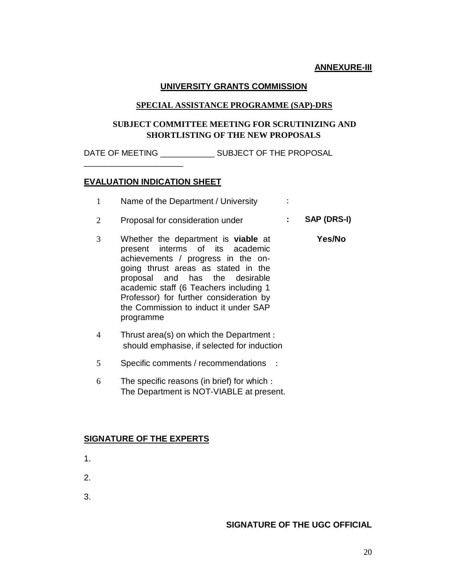## **ANNEXURE-III**

#### **UNIVERSITY GRANTS COMMISSION**

#### **SPECIAL ASSISTANCE PROGRAMME (SAP)-DRS**

## **SUBJECT COMMITTEE MEETING FOR SCRUTINIZING AND SHORTLISTING OF THE NEW PROPOSALS**

DATE OF MEETING SUBJECT OF THE PROPOSAL

#### **EVALUATION INDICATION SHEET**

\_\_\_\_\_\_\_\_\_\_\_\_\_\_\_\_\_\_\_\_\_\_

- 1 Name of the Department / University :
- 2 Proposal for consideration under **: SAP (DRS-I)**
- 3 Whether the department is **viable** at present interms of its academic achievements / progress in the ongoing thrust areas as stated in the proposal and has the desirable academic staff (6 Teachers including 1 Professor) for further consideration by the Commission to induct it under SAP programme  **Yes/No**
- 4 Thrust area(s) on which the Department : should emphasise, if selected for induction
- 5 Specific comments / recommendations :
- 6 The specific reasons (in brief) for which : The Department is NOT-VIABLE at present.

#### **SIGNATURE OF THE EXPERTS**

- 1.
- 2.
- 
- 3.

## **SIGNATURE OF THE UGC OFFICIAL**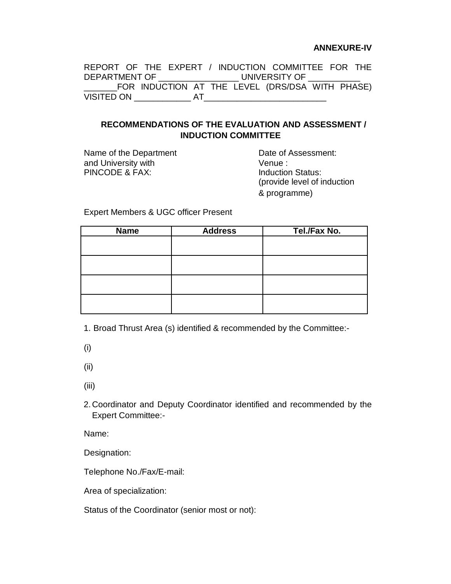#### **ANNEXURE-IV**

|                                 |  |    |  | REPORT OF THE EXPERT / INDUCTION COMMITTEE FOR THE |  |  |
|---------------------------------|--|----|--|----------------------------------------------------|--|--|
| DEPARTMENT OF _________________ |  |    |  | UNIVERSITY OF THE STATE OF                         |  |  |
|                                 |  |    |  | FOR INDUCTION AT THE LEVEL (DRS/DSA WITH PHASE)    |  |  |
| VISITED ON                      |  | AT |  |                                                    |  |  |

## **RECOMMENDATIONS OF THE EVALUATION AND ASSESSMENT / INDUCTION COMMITTEE**

Name of the Department Date of Assessment: and University with  $V$ enue :<br>
PINCODE & FAX: Induction Status: PINCODE & FAX:

(provide level of induction & programme)

Expert Members & UGC officer Present

| <b>Name</b> | <b>Address</b> | Tel./Fax No. |
|-------------|----------------|--------------|
|             |                |              |
|             |                |              |
|             |                |              |
|             |                |              |
|             |                |              |
|             |                |              |
|             |                |              |
|             |                |              |

1. Broad Thrust Area (s) identified & recommended by the Committee:-

(i)

(ii)

(iii)

2.Coordinator and Deputy Coordinator identified and recommended by the Expert Committee:-

Name:

Designation:

Telephone No./Fax/E-mail:

Area of specialization:

Status of the Coordinator (senior most or not):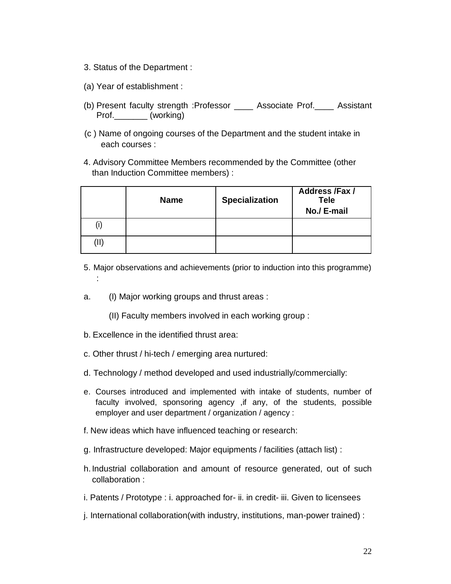- 3. Status of the Department :
- (a) Year of establishment :
- (b) Present faculty strength :Professor \_\_\_\_ Associate Prof.\_\_\_\_ Assistant Prof. (working)
- (c ) Name of ongoing courses of the Department and the student intake in each courses :
- 4. Advisory Committee Members recommended by the Committee (other than Induction Committee members) :

|   | <b>Name</b> | <b>Specialization</b> | <b>Address /Fax /</b><br><b>Tele</b><br>No./ E-mail |
|---|-------------|-----------------------|-----------------------------------------------------|
|   |             |                       |                                                     |
| Ш |             |                       |                                                     |

- 5. Major observations and achievements (prior to induction into this programme) :
- a. (I) Major working groups and thrust areas :
	- (II) Faculty members involved in each working group :
- b. Excellence in the identified thrust area:
- c. Other thrust / hi-tech / emerging area nurtured:
- d. Technology / method developed and used industrially/commercially:
- e. Courses introduced and implemented with intake of students, number of faculty involved, sponsoring agency ,if any, of the students, possible employer and user department / organization / agency :
- f. New ideas which have influenced teaching or research:
- g. Infrastructure developed: Major equipments / facilities (attach list) :
- h. Industrial collaboration and amount of resource generated, out of such collaboration :
- i. Patents / Prototype : i. approached for- ii. in credit- iii. Given to licensees
- j. International collaboration(with industry, institutions, man-power trained) :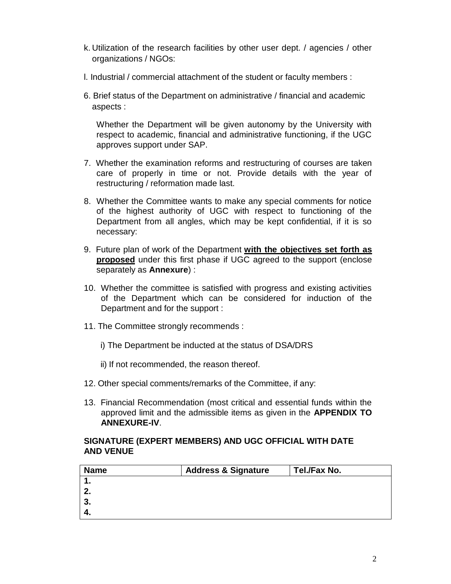- k. Utilization of the research facilities by other user dept. / agencies / other organizations / NGOs:
- l. Industrial / commercial attachment of the student or faculty members :
- 6. Brief status of the Department on administrative / financial and academic aspects :

Whether the Department will be given autonomy by the University with respect to academic, financial and administrative functioning, if the UGC approves support under SAP.

- 7. Whether the examination reforms and restructuring of courses are taken care of properly in time or not. Provide details with the year of restructuring / reformation made last.
- 8. Whether the Committee wants to make any special comments for notice of the highest authority of UGC with respect to functioning of the Department from all angles, which may be kept confidential, if it is so necessary:
- 9. Future plan of work of the Department **with the objectives set forth as proposed** under this first phase if UGC agreed to the support (enclose separately as **Annexure**) :
- 10. Whether the committee is satisfied with progress and existing activities of the Department which can be considered for induction of the Department and for the support :
- 11. The Committee strongly recommends :
	- i) The Department be inducted at the status of DSA/DRS

ii) If not recommended, the reason thereof.

- 12. Other special comments/remarks of the Committee, if any:
- 13. Financial Recommendation (most critical and essential funds within the approved limit and the admissible items as given in the **APPENDIX TO ANNEXURE-IV**.

# **SIGNATURE (EXPERT MEMBERS) AND UGC OFFICIAL WITH DATE AND VENUE**

| <b>Name</b> | <b>Address &amp; Signature</b> | Tel./Fax No. |
|-------------|--------------------------------|--------------|
|             |                                |              |
|             |                                |              |
| 3.          |                                |              |
|             |                                |              |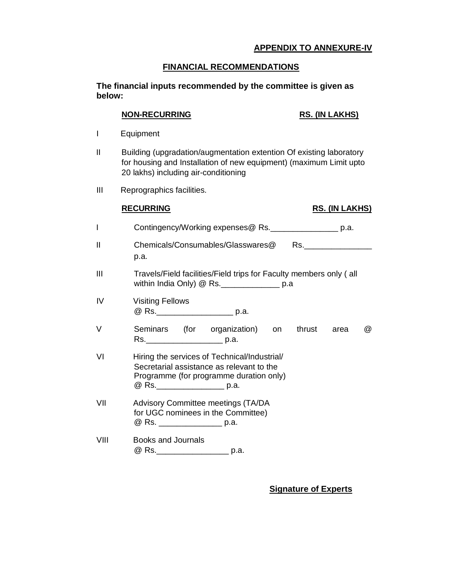## **APPENDIX TO ANNEXURE-IV**

## **FINANCIAL RECOMMENDATIONS**

**The financial inputs recommended by the committee is given as below:**

#### **NON-RECURRING RS. (IN LAKHS)**

- I Equipment
- II Building (upgradation/augmentation extention Of existing laboratory for housing and Installation of new equipment) (maximum Limit upto 20 lakhs) including air-conditioning
- III Reprographics facilities.

# **RECURRING RS. (IN LAKHS)**

- I Contingency/Working expenses@ Rs.\_\_\_\_\_\_\_\_\_\_\_\_\_\_\_ p.a. II Chemicals/Consumables/Glasswares@ Rs. p.a. III Travels/Field facilities/Field trips for Faculty members only ( all within India Only) @ Rs.\_\_\_\_\_\_\_\_\_\_\_\_\_ p.a IV Visiting Fellows @ Rs.\_\_\_\_\_\_\_\_\_\_\_\_\_\_\_\_\_\_\_\_\_\_\_\_\_ p.a. V Seminars (for organization) on thrust area @
- Rs.\_\_\_\_\_\_\_\_\_\_\_\_\_\_\_\_\_ p.a. VI Hiring the services of Technical/Industrial/
- Secretarial assistance as relevant to the Programme (for programme duration only) @ Rs. \_\_\_\_\_\_\_\_\_\_\_\_\_\_\_\_ p.a.
- VII Advisory Committee meetings (TA/DA for UGC nominees in the Committee) @ Rs. \_\_\_\_\_\_\_\_\_\_\_\_\_\_ p.a.
- VIII Books and Journals @ Rs.\_\_\_\_\_\_\_\_\_\_\_\_\_\_\_\_\_\_\_ p.a.

**Signature of Experts**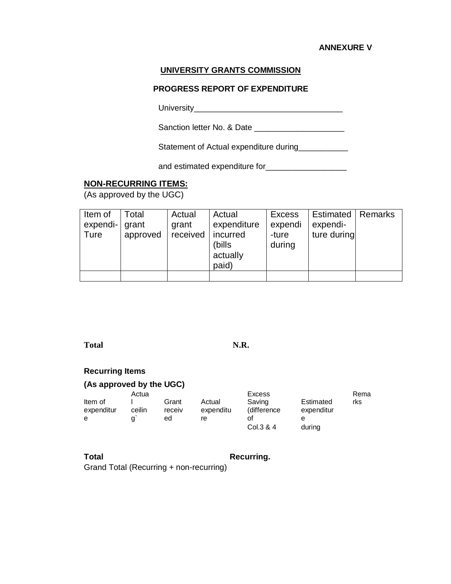#### **ANNEXURE V**

## **UNIVERSITY GRANTS COMMISSION**

### **PROGRESS REPORT OF EXPENDITURE**

University\_\_\_\_\_\_\_\_\_\_\_\_\_\_\_\_\_\_\_\_\_\_\_\_\_\_\_\_\_\_\_\_\_

Sanction letter No. & Date \_\_\_\_\_\_\_\_\_\_\_\_\_\_\_\_\_\_\_\_

Statement of Actual expenditure during

and estimated expenditure for **contained** 

## **NON-RECURRING ITEMS:**

(As approved by the UGC)

| Item of        | Total    | Actual   | Actual                                   | <b>Excess</b>   | Estimated   Remarks |  |
|----------------|----------|----------|------------------------------------------|-----------------|---------------------|--|
| expendi- grant |          | grant    | expenditure                              | expendi         | expendi-            |  |
| Ture           | approved | received | incurred<br>(bills)<br>actually<br>paid) | -ture<br>during | ture during         |  |
|                |          |          |                                          |                 |                     |  |

**Total N.R.**

#### **Recurring Items**

# **(As approved by the UGC)**

|            | Actua  |        |           | Excess      |            | Rema |
|------------|--------|--------|-----------|-------------|------------|------|
| Item of    |        | Grant  | Actual    | Saving      | Estimated  | rks  |
| expenditur | ceilin | receiv | expenditu | (difference | expenditur |      |
| е          |        | ed     | re        | Οt          | е          |      |
|            |        |        |           | Col.3 & 4   | during     |      |

**Total Recurring.** 

Grand Total (Recurring + non-recurring)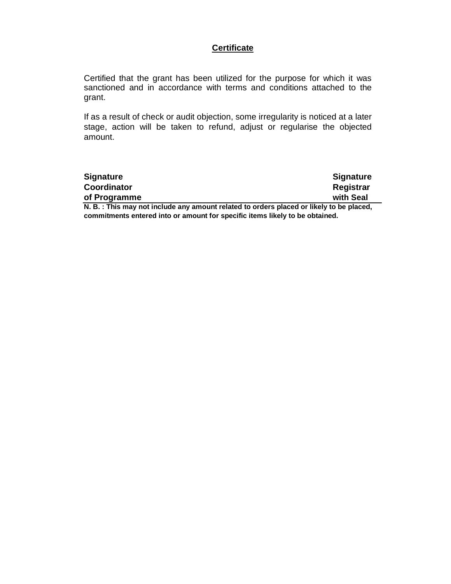## **Certificate**

Certified that the grant has been utilized for the purpose for which it was sanctioned and in accordance with terms and conditions attached to the grant.

If as a result of check or audit objection, some irregularity is noticed at a later stage, action will be taken to refund, adjust or regularise the objected amount.

| <b>Signature</b>                                                                        | <b>Signature</b> |
|-----------------------------------------------------------------------------------------|------------------|
| <b>Coordinator</b>                                                                      | Registrar        |
| of Programme                                                                            | with Seal        |
| N. B.: This may not include any amount related to orders placed or likely to be placed, |                  |

**commitments entered into or amount for specific items likely to be obtained.**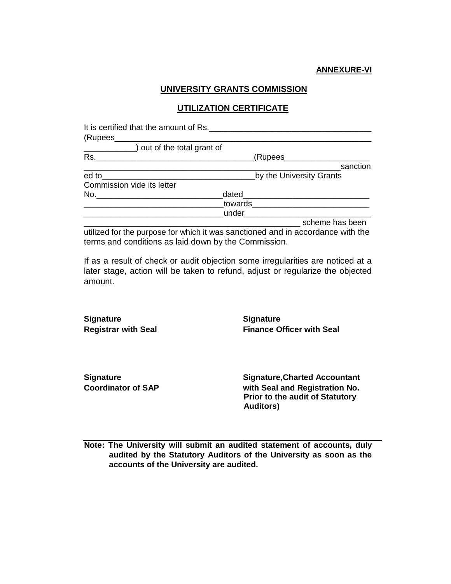## **UNIVERSITY GRANTS COMMISSION**

## **UTILIZATION CERTIFICATE**

| It is certified that the amount of Rs. |                                                                              |
|----------------------------------------|------------------------------------------------------------------------------|
| (Rupees                                |                                                                              |
|                                        | ) out of the total grant of                                                  |
| Rs.                                    | (Rupees_                                                                     |
|                                        | sanction                                                                     |
| ed to                                  | by the University Grants                                                     |
| Commission vide its letter             |                                                                              |
| No.                                    | dated                                                                        |
|                                        | towards                                                                      |
|                                        | under                                                                        |
|                                        | scheme has been                                                              |
|                                        | adjuded to the purpose for which it was conotioned and in coordense with the |

utilized for the purpose for which it was sanctioned and in accordance with the terms and conditions as laid down by the Commission.

If as a result of check or audit objection some irregularities are noticed at a later stage, action will be taken to refund, adjust or regularize the objected amount.

**Signature Signature**

**Registrar with Seal Finance Officer with Seal**

**Signature Signature,Charted Accountant Coordinator of SAP with Seal and Registration No. Prior to the audit of Statutory Auditors)**

**Note: The University will submit an audited statement of accounts, duly audited by the Statutory Auditors of the University as soon as the accounts of the University are audited.**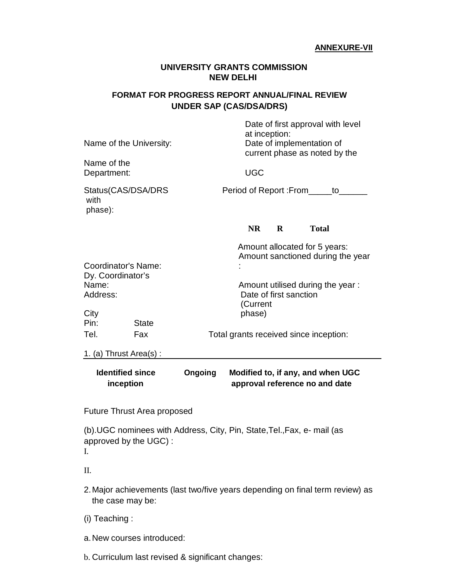#### **ANNEXURE-VII**

## **UNIVERSITY GRANTS COMMISSION NEW DELHI**

# **FORMAT FOR PROGRESS REPORT ANNUAL/FINAL REVIEW UNDER SAP (CAS/DSA/DRS)**

|                                                               | <b>Future Thrust Area proposed</b> |                                                                        |                        |          |                                                                                                 |  |
|---------------------------------------------------------------|------------------------------------|------------------------------------------------------------------------|------------------------|----------|-------------------------------------------------------------------------------------------------|--|
| <b>Identified since</b><br>inception                          |                                    | Ongoing                                                                |                        |          | Modified to, if any, and when UGC<br>approval reference no and date                             |  |
| 1. (a) Thrust $Area(s)$ :                                     |                                    |                                                                        |                        |          |                                                                                                 |  |
| Tel.                                                          | Fax                                |                                                                        |                        |          | Total grants received since inception:                                                          |  |
| City<br>Pin:                                                  | <b>State</b>                       |                                                                        | phase)                 |          |                                                                                                 |  |
| Coordinator's Name:<br>Dy. Coordinator's<br>Name:<br>Address: |                                    | Amount utilised during the year:<br>Date of first sanction<br>(Current |                        |          |                                                                                                 |  |
|                                                               |                                    | Amount allocated for 5 years:<br>Amount sanctioned during the year     |                        |          |                                                                                                 |  |
|                                                               |                                    |                                                                        | <b>NR</b>              | $\bf{R}$ | <b>Total</b>                                                                                    |  |
| Status(CAS/DSA/DRS<br>with<br>phase):                         |                                    |                                                                        | Period of Report: From |          | to                                                                                              |  |
| Name of the<br>Department:                                    |                                    |                                                                        | <b>UGC</b>             |          |                                                                                                 |  |
| Name of the University:                                       |                                    |                                                                        | at inception:          |          | Date of first approval with level<br>Date of implementation of<br>current phase as noted by the |  |

(b).UGC nominees with Address, City, Pin, State,Tel.,Fax, e- mail (as approved by the UGC) : I.

II.

- 2.Major achievements (last two/five years depending on final term review) as the case may be:
- (i) Teaching :
- a.New courses introduced:
- b. Curriculum last revised & significant changes: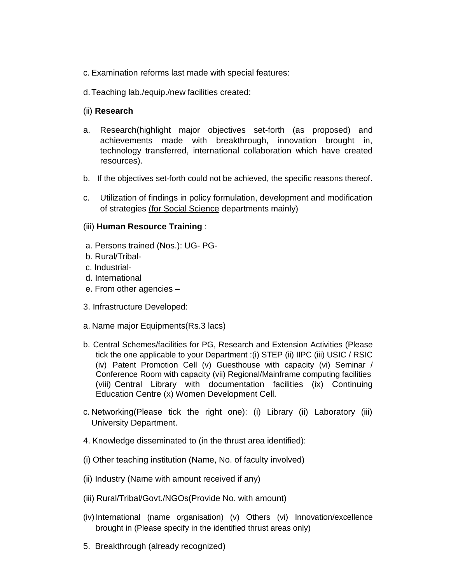- c. Examination reforms last made with special features:
- d.Teaching lab./equip./new facilities created:

## (ii) **Research**

- a. Research(highlight major objectives set-forth (as proposed) and achievements made with breakthrough, innovation brought in, technology transferred, international collaboration which have created resources).
- b. If the objectives set-forth could not be achieved, the specific reasons thereof.
- c. Utilization of findings in policy formulation, development and modification of strategies (for Social Science departments mainly)

## (iii) **Human Resource Training** :

- a. Persons trained (Nos.): UG- PG-
- b. Rural/Tribal-
- c. Industrial-
- d. International
- e. From other agencies –
- 3. Infrastructure Developed:
- a. Name major Equipments(Rs.3 lacs)
- b. Central Schemes/facilities for PG, Research and Extension Activities (Please tick the one applicable to your Department :(i) STEP (ii) IIPC (iii) USIC / RSIC (iv) Patent Promotion Cell (v) Guesthouse with capacity (vi) Seminar / Conference Room with capacity (vii) Regional/Mainframe computing facilities (viii) Central Library with documentation facilities (ix) Continuing Education Centre (x) Women Development Cell.
- c. Networking(Please tick the right one): (i) Library (ii) Laboratory (iii) University Department.
- 4. Knowledge disseminated to (in the thrust area identified):
- (i) Other teaching institution (Name, No. of faculty involved)
- (ii) Industry (Name with amount received if any)
- (iii) Rural/Tribal/Govt./NGOs(Provide No. with amount)
- (iv) International (name organisation) (v) Others (vi) Innovation/excellence brought in (Please specify in the identified thrust areas only)
- 5. Breakthrough (already recognized)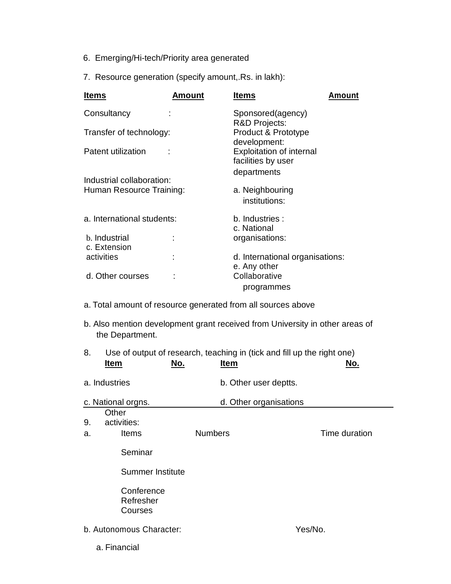- 6. Emerging/Hi-tech/Priority area generated
- 7. Resource generation (specify amount,.Rs. in lakh):

- a. Total amount of resource generated from all sources above
- b. Also mention development grant received from University in other areas of the Department.

| 8. | <b>Item</b>                        | Use of output of research, teaching in (tick and fill up the right one)<br>No.<br><b>Item</b> | No.           |
|----|------------------------------------|-----------------------------------------------------------------------------------------------|---------------|
|    | a. Industries                      | b. Other user deptts.                                                                         |               |
|    | c. National orgns.                 | d. Other organisations                                                                        |               |
| 9. | Other<br>activities:               |                                                                                               |               |
| a. | <b>Items</b>                       | <b>Numbers</b>                                                                                | Time duration |
|    | Seminar                            |                                                                                               |               |
|    | <b>Summer Institute</b>            |                                                                                               |               |
|    | Conference<br>Refresher<br>Courses |                                                                                               |               |
|    | b. Autonomous Character:           |                                                                                               | Yes/No.       |
|    | a. Financial                       |                                                                                               |               |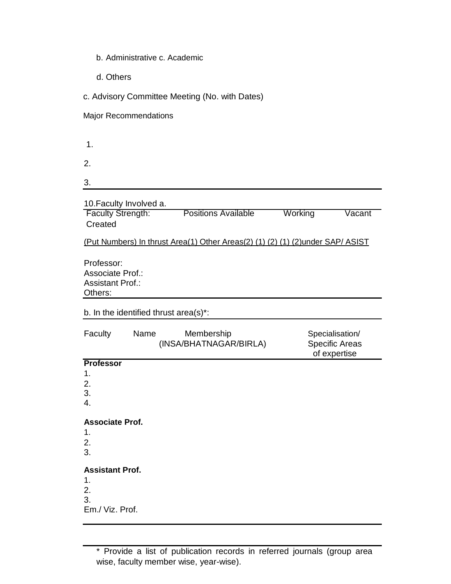- b. Administrative c. Academic
- d. Others

c. Advisory Committee Meeting (No. with Dates)

Major Recommendations

1.

2.

3.

10.Faculty Involved a.

**Faculty Strength:** Positions Available Working Vacant Created

(Put Numbers) In thrust Area(1) Other Areas(2) (1) (2) (1) (2)under SAP/ ASIST

Professor: Associate Prof.: Assistant Prof.: Others:

b. In the identified thrust area(s)\*:

| Faculty                                  | Name | Membership<br>(INSA/BHATNAGAR/BIRLA) | Specialisation/<br><b>Specific Areas</b><br>of expertise |
|------------------------------------------|------|--------------------------------------|----------------------------------------------------------|
| <b>Professor</b>                         |      |                                      |                                                          |
| 1.                                       |      |                                      |                                                          |
| 2.                                       |      |                                      |                                                          |
| 3.                                       |      |                                      |                                                          |
| 4.                                       |      |                                      |                                                          |
| <b>Associate Prof.</b><br>1.<br>2.<br>3. |      |                                      |                                                          |
| <b>Assistant Prof.</b>                   |      |                                      |                                                          |
| 1.                                       |      |                                      |                                                          |
| 2.                                       |      |                                      |                                                          |
| 3.                                       |      |                                      |                                                          |
| Em./ Viz. Prof.                          |      |                                      |                                                          |

\* Provide a list of publication records in referred journals (group area wise, faculty member wise, year-wise).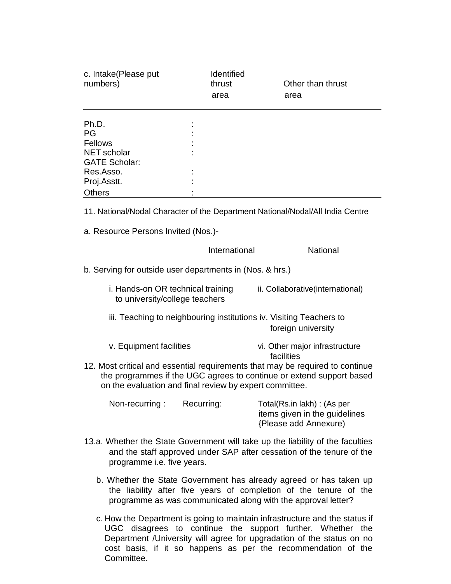| c. Intake(Please put<br>numbers)                                               | <b>Identified</b><br>thrust<br>area | Other than thrust<br>area |
|--------------------------------------------------------------------------------|-------------------------------------|---------------------------|
| Ph.D.                                                                          |                                     |                           |
| PG                                                                             |                                     |                           |
| Fellows                                                                        |                                     |                           |
| NET scholar                                                                    |                                     |                           |
| <b>GATE Scholar:</b>                                                           |                                     |                           |
| Res.Asso.                                                                      |                                     |                           |
| Proj.Asstt.                                                                    |                                     |                           |
| <b>Others</b>                                                                  |                                     |                           |
| 11. National/Nodal Character of the Department National/Nodal/All India Centre |                                     |                           |

a. Resource Persons Invited (Nos.)-

#### International **National**

b. Serving for outside user departments in (Nos. & hrs.)

- i. Hands-on OR technical training ii. Collaborative(international) to university/college teachers
- iii. Teaching to neighbouring institutions iv. Visiting Teachers to foreign university
- v. Equipment facilities vi. Other major infrastructure facilities
- 12. Most critical and essential requirements that may be required to continue the programmes if the UGC agrees to continue or extend support based on the evaluation and final review by expert committee.

| Non-recurring: | Recurring: | Total(Rs.in lakh): (As per                             |
|----------------|------------|--------------------------------------------------------|
|                |            | items given in the guidelines<br>{Please add Annexure} |

- 13.a. Whether the State Government will take up the liability of the faculties and the staff approved under SAP after cessation of the tenure of the programme i.e. five years.
	- b. Whether the State Government has already agreed or has taken up the liability after five years of completion of the tenure of the programme as was communicated along with the approval letter?
	- c. How the Department is going to maintain infrastructure and the status if UGC disagrees to continue the support further. Whether the Department /University will agree for upgradation of the status on no cost basis, if it so happens as per the recommendation of the Committee.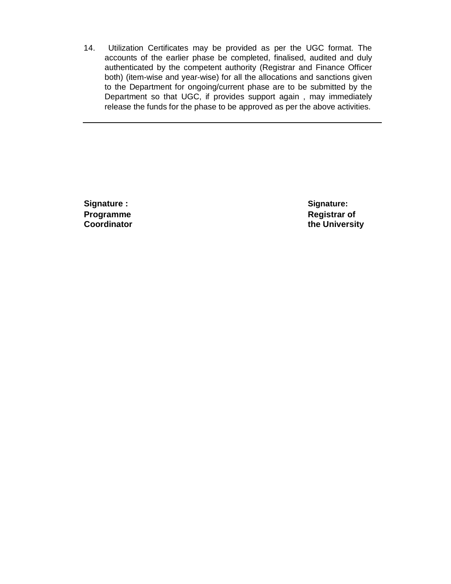14. Utilization Certificates may be provided as per the UGC format. The accounts of the earlier phase be completed, finalised, audited and duly authenticated by the competent authority (Registrar and Finance Officer both) (item-wise and year-wise) for all the allocations and sanctions given to the Department for ongoing/current phase are to be submitted by the Department so that UGC, if provides support again , may immediately release the funds for the phase to be approved as per the above activities.

**Signature : Signature: Programme Registrar of** 

**Coordinator Coordinator the University**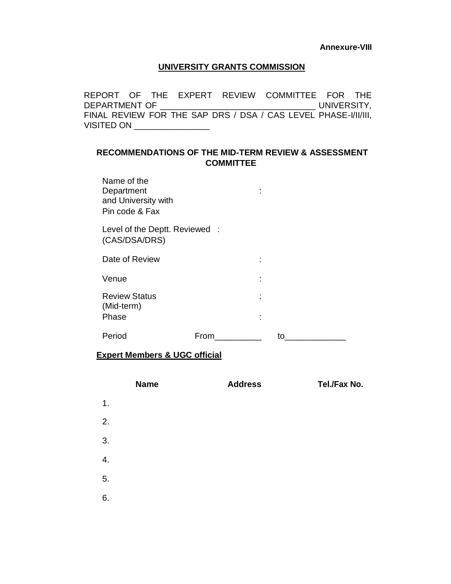#### **UNIVERSITY GRANTS COMMISSION**

REPORT OF THE EXPERT REVIEW COMMITTEE FOR THE DEPARTMENT OF \_\_\_\_\_\_\_\_\_\_\_\_\_\_\_\_\_\_\_\_\_\_\_\_\_\_\_\_\_\_\_\_\_ UNIVERSITY, FINAL REVIEW FOR THE SAP DRS / DSA / CAS LEVEL PHASE-I/II/III, VISITED ON \_\_\_\_\_\_\_\_\_\_\_\_\_\_\_\_\_\_\_

## **RECOMMENDATIONS OF THE MID-TERM REVIEW & ASSESSMENT COMMITTEE**

Name of the Department : the state of the state of the state of the state of the state of the state of the state of the state of the state of the state of the state of the state of the state of the state of the state of the state of t and University with Pin code & Fax

Level of the Deptt. Reviewed : (CAS/DSA/DRS)

| Date of Review                              |      | ٠<br>٠                        |    |
|---------------------------------------------|------|-------------------------------|----|
| Venue                                       |      | ٠<br>$\overline{\phantom{a}}$ |    |
| <b>Review Status</b><br>(Mid-term)<br>Phase |      | ٠<br>٠<br>٠<br>٠              |    |
| Period                                      | From |                               | חז |

#### **Expert Members & UGC official**

|    | <b>Name</b> | <b>Address</b> | Tel./Fax No. |
|----|-------------|----------------|--------------|
| 1. |             |                |              |
| 2. |             |                |              |
| 3. |             |                |              |
| 4. |             |                |              |
| 5. |             |                |              |
| 6. |             |                |              |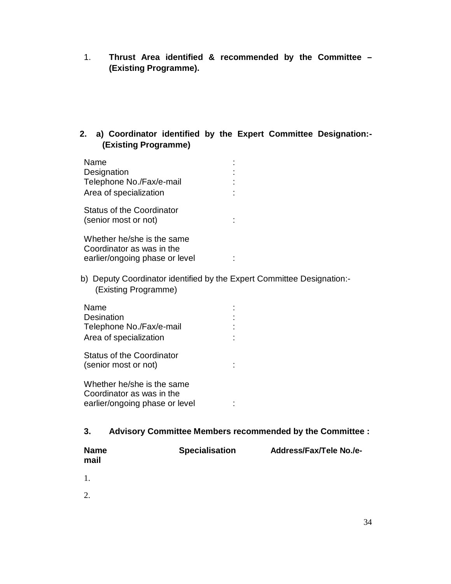- 1. **Thrust Area identified & recommended by the Committee – (Existing Programme).**
- **2. a) Coordinator identified by the Expert Committee Designation:- (Existing Programme)**

| Name<br>Designation<br>Telephone No./Fax/e-mail<br>Area of specialization                 |  |
|-------------------------------------------------------------------------------------------|--|
| Status of the Coordinator<br>(senior most or not)                                         |  |
| Whether he/she is the same<br>Coordinator as was in the<br>earlier/ongoing phase or level |  |

b) Deputy Coordinator identified by the Expert Committee Designation:- (Existing Programme)

| Name<br>Desination<br>Telephone No./Fax/e-mail<br>Area of specialization                  |  |
|-------------------------------------------------------------------------------------------|--|
| Status of the Coordinator<br>(senior most or not)                                         |  |
| Whether he/she is the same<br>Coordinator as was in the<br>earlier/ongoing phase or level |  |

**3. Advisory Committee Members recommended by the Committee :** 

| <b>Name</b> | <b>Specialisation</b> | <b>Address/Fax/Tele No./e-</b> |
|-------------|-----------------------|--------------------------------|
| mail        |                       |                                |

1.

2.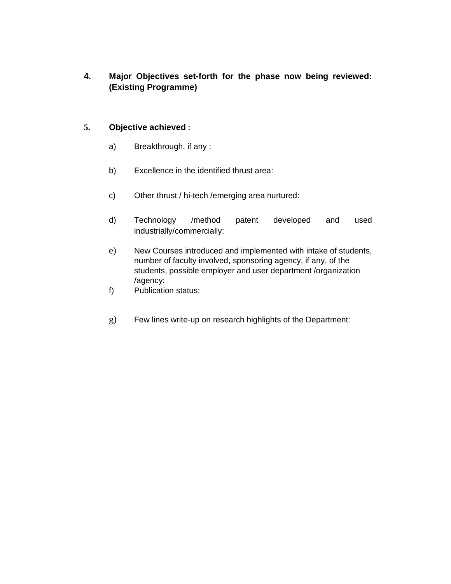**4. Major Objectives set-forth for the phase now being reviewed: (Existing Programme)** 

## **5. Objective achieved** :

- a) Breakthrough, if any :
- b) Excellence in the identified thrust area:
- c) Other thrust / hi-tech /emerging area nurtured:
- d) Technology /method patent developed and used industrially/commercially:
- e) New Courses introduced and implemented with intake of students, number of faculty involved, sponsoring agency, if any, of the students, possible employer and user department /organization /agency:
- f) Publication status:
- g) Few lines write-up on research highlights of the Department: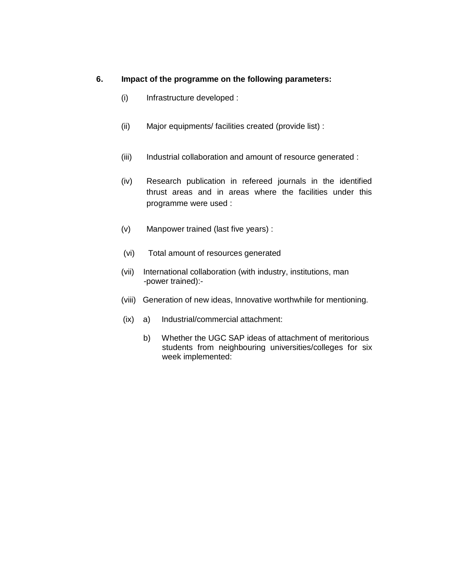## **6. Impact of the programme on the following parameters:**

- (i) Infrastructure developed :
- (ii) Major equipments/ facilities created (provide list) :
- (iii) Industrial collaboration and amount of resource generated :
- (iv) Research publication in refereed journals in the identified thrust areas and in areas where the facilities under this programme were used :
- (v) Manpower trained (last five years) :
- (vi) Total amount of resources generated
- (vii) International collaboration (with industry, institutions, man -power trained):-
- (viii) Generation of new ideas, Innovative worthwhile for mentioning.
- (ix) a) Industrial/commercial attachment:
	- b) Whether the UGC SAP ideas of attachment of meritorious students from neighbouring universities/colleges for six week implemented: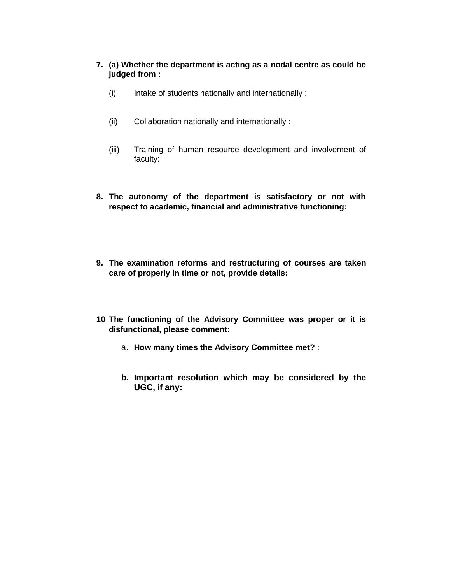## **7. (a) Whether the department is acting as a nodal centre as could be judged from :**

- (i) Intake of students nationally and internationally :
- (ii) Collaboration nationally and internationally :
- (iii) Training of human resource development and involvement of faculty:
- **8. The autonomy of the department is satisfactory or not with respect to academic, financial and administrative functioning:**
- **9. The examination reforms and restructuring of courses are taken care of properly in time or not, provide details:**
- **10 The functioning of the Advisory Committee was proper or it is disfunctional, please comment:** 
	- a. **How many times the Advisory Committee met?** :
	- **b. Important resolution which may be considered by the UGC, if any:**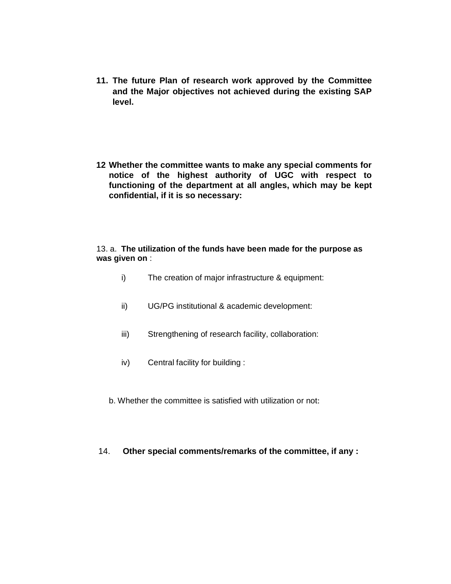- **11. The future Plan of research work approved by the Committee and the Major objectives not achieved during the existing SAP level.**
- **12 Whether the committee wants to make any special comments for notice of the highest authority of UGC with respect to functioning of the department at all angles, which may be kept confidential, if it is so necessary:**

#### 13. a. **The utilization of the funds have been made for the purpose as was given on** :

- i) The creation of major infrastructure & equipment:
- ii) UG/PG institutional & academic development:
- iii) Strengthening of research facility, collaboration:
- iv) Central facility for building :
- b. Whether the committee is satisfied with utilization or not:

## 14. **Other special comments/remarks of the committee, if any :**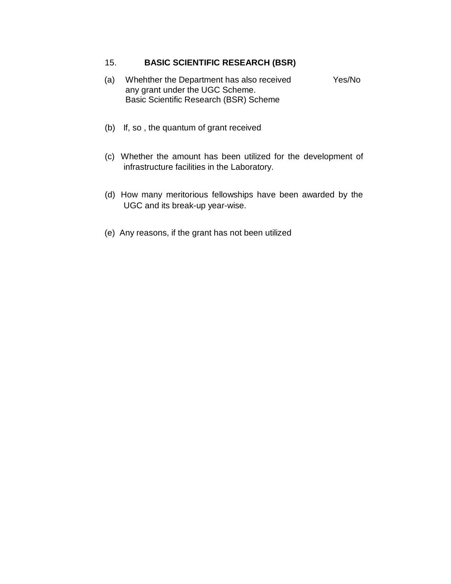# 15. **BASIC SCIENTIFIC RESEARCH (BSR)**

- (a) Whehther the Department has also received Yes/No any grant under the UGC Scheme. Basic Scientific Research (BSR) Scheme
- (b) If, so , the quantum of grant received
- (c) Whether the amount has been utilized for the development of infrastructure facilities in the Laboratory.
- (d) How many meritorious fellowships have been awarded by the UGC and its break-up year-wise.
- (e) Any reasons, if the grant has not been utilized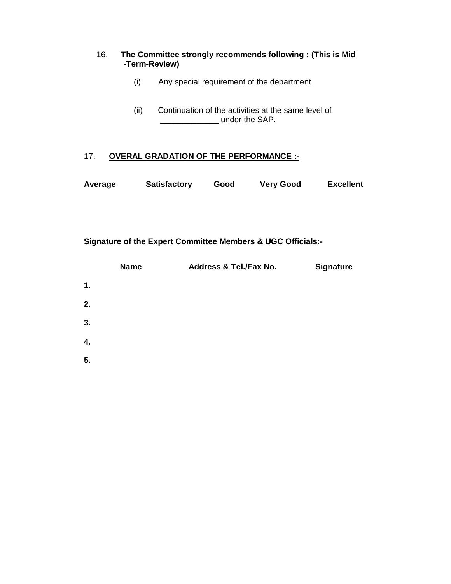## 16. **The Committee strongly recommends following : (This is Mid -Term-Review)**

- (i) Any special requirement of the department
- (ii) Continuation of the activities at the same level of **\_\_\_\_\_\_\_\_\_\_\_** under the SAP.

# 17. **OVERAL GRADATION OF THE PERFORMANCE :-**

| Average | <b>Satisfactory</b> | Good | <b>Very Good</b> | <b>Excellent</b> |
|---------|---------------------|------|------------------|------------------|
|---------|---------------------|------|------------------|------------------|

**Signature of the Expert Committee Members & UGC Officials:-**

|    | <b>Name</b> | Address & Tel./Fax No. | <b>Signature</b> |
|----|-------------|------------------------|------------------|
| 1. |             |                        |                  |
| 2. |             |                        |                  |
| 3. |             |                        |                  |
| 4. |             |                        |                  |
| 5. |             |                        |                  |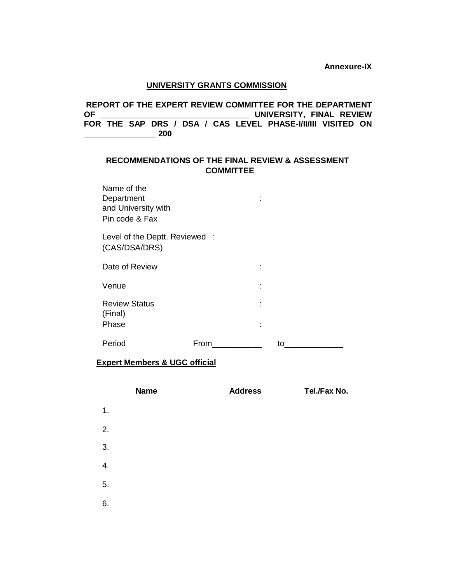**Annexure-IX**

#### **UNIVERSITY GRANTS COMMISSION**

**REPORT OF THE EXPERT REVIEW COMMITTEE FOR THE DEPARTMENT UNIVERSITY, FINAL REVIEW** FOR THE SAP DRS / DSA / CAS LEVEL PHASE-VIVIII VISITED ON **\_\_\_\_\_\_\_\_\_\_\_\_\_\_\_\_ 200**

## **RECOMMENDATIONS OF THE FINAL REVIEW & ASSESSMENT COMMITTEE**

| Name of the<br>Department<br>and University with<br>Pin code & Fax |      |    |
|--------------------------------------------------------------------|------|----|
| Level of the Deptt. Reviewed :<br>(CAS/DSA/DRS)                    |      |    |
| Date of Review                                                     |      |    |
| Venue                                                              |      |    |
| <b>Review Status</b><br>(Final)<br>Phase                           |      |    |
| Period                                                             | From | to |

## **Expert Members & UGC official**

|    | <b>Name</b> | <b>Address</b> | Tel./Fax No. |
|----|-------------|----------------|--------------|
| 1. |             |                |              |
| 2. |             |                |              |
| 3. |             |                |              |
| 4. |             |                |              |
| 5. |             |                |              |
| 6. |             |                |              |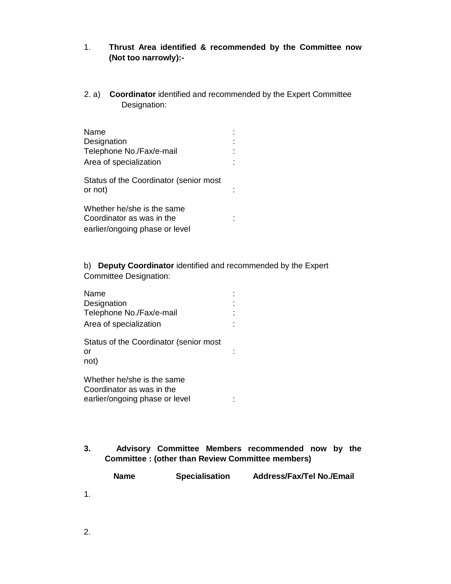## 1. **Thrust Area identified & recommended by the Committee now (Not too narrowly):-**

2. a) **Coordinator** identified and recommended by the Expert Committee Designation:

| Name<br>Designation<br>Telephone No./Fax/e-mail<br>Area of specialization                 |  |
|-------------------------------------------------------------------------------------------|--|
| Status of the Coordinator (senior most<br>or not)                                         |  |
| Whether he/she is the same<br>Coordinator as was in the<br>earlier/ongoing phase or level |  |

b) **Deputy Coordinator** identified and recommended by the Expert Committee Designation:

| Name<br>Designation<br>Telephone No./Fax/e-mail<br>Area of specialization                 |  |
|-------------------------------------------------------------------------------------------|--|
| Status of the Coordinator (senior most<br>or<br>not)                                      |  |
| Whether he/she is the same<br>Coordinator as was in the<br>earlier/ongoing phase or level |  |

**3. Advisory Committee Members recommended now by the Committee : (other than Review Committee members)** 

|    | <b>Name</b> | <b>Specialisation</b> | <b>Address/Fax/Tel No./Email</b> |
|----|-------------|-----------------------|----------------------------------|
| 1. |             |                       |                                  |
|    |             |                       |                                  |

2.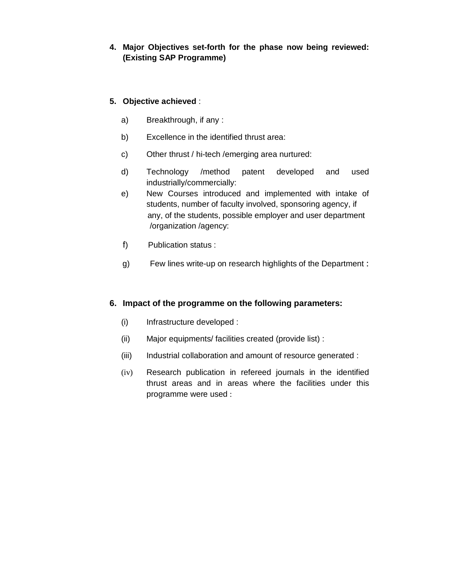# **4. Major Objectives set-forth for the phase now being reviewed: (Existing SAP Programme)**

# **5. Objective achieved** :

- a) Breakthrough, if any :
- b) Excellence in the identified thrust area:
- c) Other thrust / hi-tech /emerging area nurtured:
- d) Technology /method patent developed and used industrially/commercially:
- e) New Courses introduced and implemented with intake of students, number of faculty involved, sponsoring agency, if any, of the students, possible employer and user department /organization /agency:
- f) Publication status :
- g) Few lines write-up on research highlights of the Department :

## **6. Impact of the programme on the following parameters:**

- (i) Infrastructure developed :
- (ii) Major equipments/ facilities created (provide list) :
- (iii) Industrial collaboration and amount of resource generated :
- (iv) Research publication in refereed journals in the identified thrust areas and in areas where the facilities under this programme were used :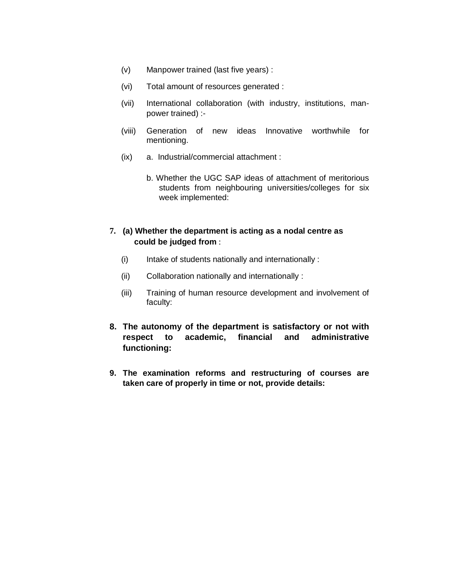- (v) Manpower trained (last five years) :
- (vi) Total amount of resources generated :
- (vii) International collaboration (with industry, institutions, manpower trained) :-
- (viii) Generation of new ideas Innovative worthwhile for mentioning.
- (ix) a. Industrial/commercial attachment :
	- b. Whether the UGC SAP ideas of attachment of meritorious students from neighbouring universities/colleges for six week implemented:

## **7. (a) Whether the department is acting as a nodal centre as could be judged from** :

- (i) Intake of students nationally and internationally :
- (ii) Collaboration nationally and internationally :
- (iii) Training of human resource development and involvement of faculty:
- **8. The autonomy of the department is satisfactory or not with respect to academic, financial and administrative functioning:**
- **9. The examination reforms and restructuring of courses are taken care of properly in time or not, provide details:**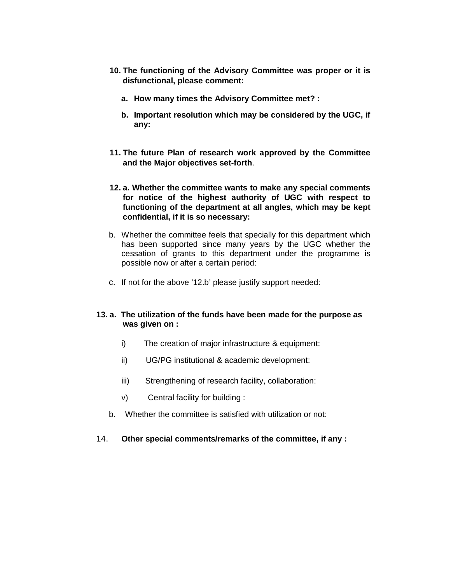- **10. The functioning of the Advisory Committee was proper or it is disfunctional, please comment:** 
	- **a. How many times the Advisory Committee met? :**
	- **b. Important resolution which may be considered by the UGC, if any:**
- **11. The future Plan of research work approved by the Committee and the Major objectives set-forth**.
- **12. a. Whether the committee wants to make any special comments for notice of the highest authority of UGC with respect to functioning of the department at all angles, which may be kept confidential, if it is so necessary:**
- b. Whether the committee feels that specially for this department which has been supported since many years by the UGC whether the cessation of grants to this department under the programme is possible now or after a certain period:
- c. If not for the above '12.b' please justify support needed:

#### **13. a. The utilization of the funds have been made for the purpose as was given on :**

- i) The creation of major infrastructure & equipment:
- ii) UG/PG institutional & academic development:
- iii) Strengthening of research facility, collaboration:
- v) Central facility for building :
- b. Whether the committee is satisfied with utilization or not:
- 14. **Other special comments/remarks of the committee, if any :**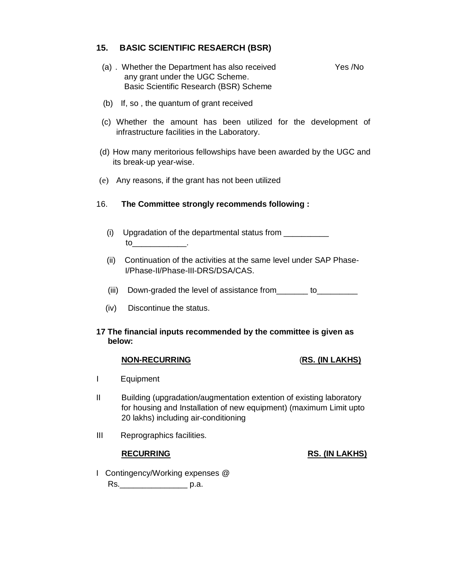## **15. BASIC SCIENTIFIC RESAERCH (BSR)**

- (a) . Whether the Department has also received Yes /No any grant under the UGC Scheme. Basic Scientific Research (BSR) Scheme
- (b) If, so , the quantum of grant received
- (c) Whether the amount has been utilized for the development of infrastructure facilities in the Laboratory.
- (d) How many meritorious fellowships have been awarded by the UGC and its break-up year-wise.
- (e) Any reasons, if the grant has not been utilized

## 16. **The Committee strongly recommends following :**

- (i) Upgradation of the departmental status from  $\sqrt{2}$ to\_\_\_\_\_\_\_\_\_\_\_\_.
- (ii) Continuation of the activities at the same level under SAP Phase-I/Phase-II/Phase-III-DRS/DSA/CAS.
- (iii) Down-graded the level of assistance from \_\_\_\_\_\_ to\_\_\_\_\_\_\_\_\_
- (iv) Discontinue the status.

#### **17 The financial inputs recommended by the committee is given as below:**

#### **NON-RECURRING** (**RS. (IN LAKHS)**

- I Equipment
- II Building (upgradation/augmentation extention of existing laboratory for housing and Installation of new equipment) (maximum Limit upto 20 lakhs) including air-conditioning
- III Reprographics facilities.

## **RECURRING RS. (IN LAKHS)**

# I Contingency/Working expenses @ Rs.\_\_\_\_\_\_\_\_\_\_\_\_\_\_\_ p.a.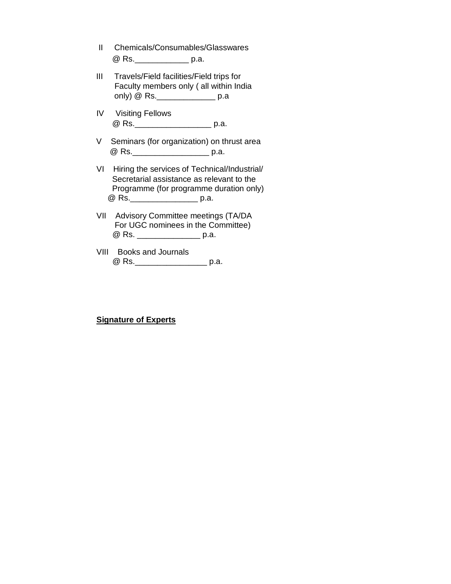- II Chemicals/Consumables/Glasswares @ Rs.\_\_\_\_\_\_\_\_\_\_\_\_ p.a.
- III Travels/Field facilities/Field trips for Faculty members only ( all within India only) @ Rs.\_\_\_\_\_\_\_\_\_\_\_\_\_ p.a
- IV Visiting Fellows @ Rs.\_\_\_\_\_\_\_\_\_\_\_\_\_\_\_\_\_ p.a.
- V Seminars (for organization) on thrust area @ Rs. \_\_\_\_\_\_\_\_\_\_\_\_\_\_\_\_\_\_\_\_\_\_\_ p.a.
- VI Hiring the services of Technical/Industrial/ Secretarial assistance as relevant to the Programme (for programme duration only) @ Rs.\_\_\_\_\_\_\_\_\_\_\_\_\_\_\_ p.a.
- VII Advisory Committee meetings (TA/DA For UGC nominees in the Committee) @ Rs. \_\_\_\_\_\_\_\_\_\_\_\_\_\_\_\_\_\_\_ p.a.
- VIII Books and Journals @ Rs.\_\_\_\_\_\_\_\_\_\_\_\_\_\_\_\_\_\_\_\_\_\_ p.a.

## **Signature of Experts**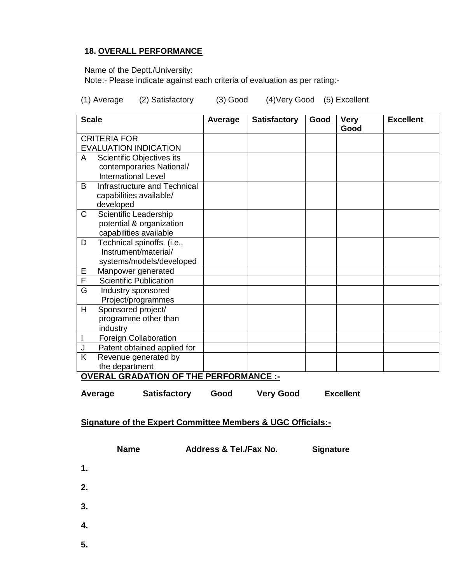## **18. OVERALL PERFORMANCE**

Name of the Deptt./University:

Note:- Please indicate against each criteria of evaluation as per rating:-

(1) Average (2) Satisfactory (3) Good (4)Very Good (5) Excellent

| <b>Scale</b> |                               | Average | <b>Satisfactory</b> | Good | <b>Very</b><br>Good | <b>Excellent</b> |
|--------------|-------------------------------|---------|---------------------|------|---------------------|------------------|
|              | <b>CRITERIA FOR</b>           |         |                     |      |                     |                  |
|              | <b>EVALUATION INDICATION</b>  |         |                     |      |                     |                  |
| A            | Scientific Objectives its     |         |                     |      |                     |                  |
|              | contemporaries National/      |         |                     |      |                     |                  |
|              | <b>International Level</b>    |         |                     |      |                     |                  |
| B            | Infrastructure and Technical  |         |                     |      |                     |                  |
|              | capabilities available/       |         |                     |      |                     |                  |
|              | developed                     |         |                     |      |                     |                  |
| C            | Scientific Leadership         |         |                     |      |                     |                  |
|              | potential & organization      |         |                     |      |                     |                  |
|              | capabilities available        |         |                     |      |                     |                  |
| D            | Technical spinoffs. (i.e.,    |         |                     |      |                     |                  |
|              | Instrument/material/          |         |                     |      |                     |                  |
|              | systems/models/developed      |         |                     |      |                     |                  |
| Ε            | Manpower generated            |         |                     |      |                     |                  |
| F            | <b>Scientific Publication</b> |         |                     |      |                     |                  |
| G            | Industry sponsored            |         |                     |      |                     |                  |
|              | Project/programmes            |         |                     |      |                     |                  |
| H            | Sponsored project/            |         |                     |      |                     |                  |
|              | programme other than          |         |                     |      |                     |                  |
|              | industry                      |         |                     |      |                     |                  |
|              | Foreign Collaboration         |         |                     |      |                     |                  |
|              | Patent obtained applied for   |         |                     |      |                     |                  |
| K            | Revenue generated by          |         |                     |      |                     |                  |
|              | the department                |         |                     |      |                     |                  |

**OVERAL GRADATION OF THE PERFORMANCE :-**

| Average | <b>Satisfactory</b> | Good | <b>Very Good</b> | <b>Excellent</b> |
|---------|---------------------|------|------------------|------------------|
|         |                     |      |                  |                  |

## **Signature of the Expert Committee Members & UGC Officials:-**

|    | <b>Name</b> | Address & Tel./Fax No. | <b>Signature</b> |
|----|-------------|------------------------|------------------|
| 1. |             |                        |                  |
| 2. |             |                        |                  |
| 3. |             |                        |                  |
| 4. |             |                        |                  |
| 5. |             |                        |                  |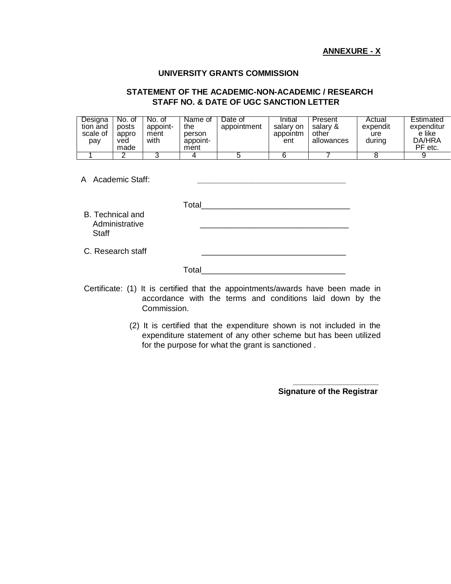#### **ANNEXURE - X**

#### **UNIVERSITY GRANTS COMMISSION**

#### **STATEMENT OF THE ACADEMIC-NON-ACADEMIC / RESEARCH STAFF NO. & DATE OF UGC SANCTION LETTER**

| Designa<br>tion and<br>scale of<br>pay | No. of<br>posts<br>appro<br>ved<br>made | No. of<br>appoint-<br>ment<br>with | Name of<br>the<br>person<br>appoint-<br>ment | Date of<br>appointment | Initial<br>salary on<br>appointm<br>ent | Present<br>salarv &<br>other<br>allowances | Actual<br>expendit<br>ure<br>during | Estimated<br>expenditur<br>e like<br>DA/HRA<br>PF etc. |
|----------------------------------------|-----------------------------------------|------------------------------------|----------------------------------------------|------------------------|-----------------------------------------|--------------------------------------------|-------------------------------------|--------------------------------------------------------|
|                                        |                                         |                                    |                                              |                        |                                         |                                            |                                     |                                                        |

A Academic Staff: **\_\_\_\_\_\_\_\_\_\_\_\_\_\_\_\_\_\_\_\_\_\_\_\_\_\_\_\_\_\_\_\_\_**

B. Technical and Administrative **Staff** 

C. Research staff

| Total |  |  |  |
|-------|--|--|--|
|       |  |  |  |

Certificate: (1) It is certified that the appointments/awards have been made in accordance with the terms and conditions laid down by the Commission.

> (2) It is certified that the expenditure shown is not included in the expenditure statement of any other scheme but has been utilized for the purpose for what the grant is sanctioned .

> > **Signature of the Registrar**

**\_\_\_\_\_\_\_\_\_\_\_\_\_\_\_\_\_\_\_**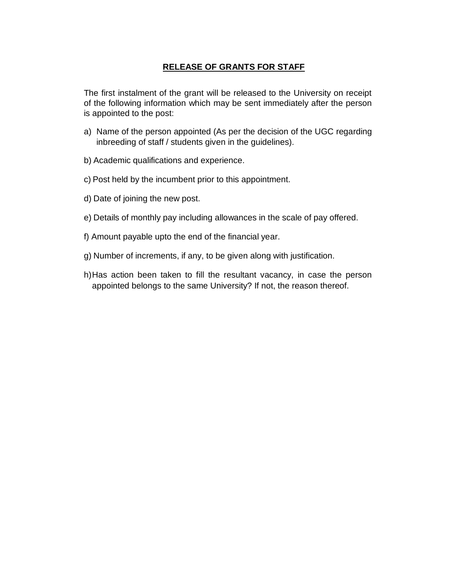# **RELEASE OF GRANTS FOR STAFF**

The first instalment of the grant will be released to the University on receipt of the following information which may be sent immediately after the person is appointed to the post:

- a) Name of the person appointed (As per the decision of the UGC regarding inbreeding of staff / students given in the guidelines).
- b) Academic qualifications and experience.
- c) Post held by the incumbent prior to this appointment.
- d) Date of joining the new post.
- e) Details of monthly pay including allowances in the scale of pay offered.
- f) Amount payable upto the end of the financial year.
- g) Number of increments, if any, to be given along with justification.
- h)Has action been taken to fill the resultant vacancy, in case the person appointed belongs to the same University? If not, the reason thereof.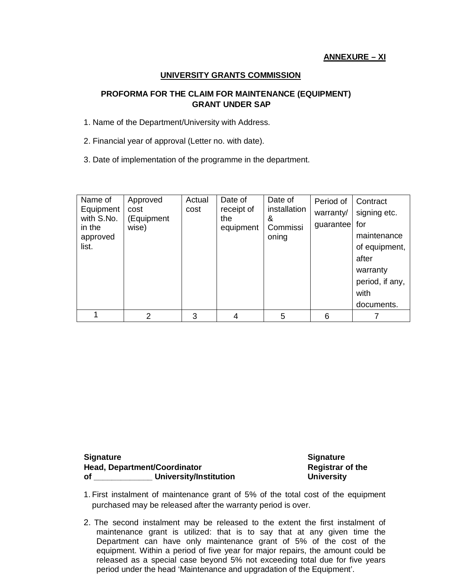## **UNIVERSITY GRANTS COMMISSION**

## **PROFORMA FOR THE CLAIM FOR MAINTENANCE (EQUIPMENT) GRANT UNDER SAP**

- 1. Name of the Department/University with Address.
- 2. Financial year of approval (Letter no. with date).
- 3. Date of implementation of the programme in the department.

| Name of<br>Equipment<br>with S.No.<br>in the<br>approved<br>list. | Approved<br>cost<br>(Equipment<br>wise) | Actual<br>cost | Date of<br>receipt of<br>the<br>equipment | Date of<br>installation<br>&<br>Commissi<br>oning | Period of<br>warranty/<br>guarantee | Contract<br>signing etc.<br>for<br>maintenance<br>of equipment,<br>after<br>warranty<br>period, if any,<br>with<br>documents. |
|-------------------------------------------------------------------|-----------------------------------------|----------------|-------------------------------------------|---------------------------------------------------|-------------------------------------|-------------------------------------------------------------------------------------------------------------------------------|
|                                                                   | 2                                       | 3              | 4                                         | 5                                                 | 6                                   |                                                                                                                               |

#### **Signature Signature Head, Department/Coordinator Registrar of the of \_\_\_\_\_\_\_\_\_\_\_\_\_ University/Institution University**

- 1. First instalment of maintenance grant of 5% of the total cost of the equipment purchased may be released after the warranty period is over.
- 2. The second instalment may be released to the extent the first instalment of maintenance grant is utilized: that is to say that at any given time the Department can have only maintenance grant of 5% of the cost of the equipment. Within a period of five year for major repairs, the amount could be released as a special case beyond 5% not exceeding total due for five years period under the head 'Maintenance and upgradation of the Equipment'.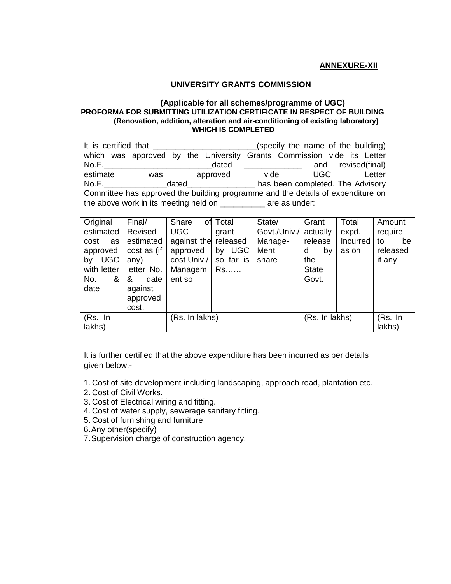#### **ANNEXURE-XII**

#### **UNIVERSITY GRANTS COMMISSION**

#### **(Applicable for all schemes/programme of UGC) PROFORMA FOR SUBMITTING UTILIZATION CERTIFICATE IN RESPECT OF BUILDING (Renovation, addition, alteration and air-conditioning of existing laboratory) WHICH IS COMPLETED**

| It is certified that __________<br>(specify the name of the building)           |     |       |          |                                               |      |                                                                        |  |  |
|---------------------------------------------------------------------------------|-----|-------|----------|-----------------------------------------------|------|------------------------------------------------------------------------|--|--|
|                                                                                 |     |       |          |                                               |      | which was approved by the University Grants Commission vide its Letter |  |  |
| No.F.                                                                           |     |       | dated    | <u> 1989 - Alexandria Alexandro III e ale</u> |      | and revised(final)                                                     |  |  |
| estimate                                                                        | was |       | approved | vide                                          | UGC. | Letter                                                                 |  |  |
| No.F.                                                                           |     | dated |          |                                               |      | has been completed. The Advisory                                       |  |  |
| Committee has approved the building programme and the details of expenditure on |     |       |          |                                               |      |                                                                        |  |  |
| the above work in its meeting held on ___________ are as under:                 |     |       |          |                                               |      |                                                                        |  |  |

| Original<br>estimated<br>cost<br>as<br>approved<br><b>UGC</b><br>by<br>with letter<br>No.<br>& | Final/<br>Revised<br>estimated<br>cost as (if<br>any)<br>letter No.<br>&<br>date | Share<br><b>UGC</b><br>against the released<br>approved<br>cost Univ./<br>Managem<br>ent so | of Total<br>grant<br>by UGC<br>so far is<br>$Rs.\dots$ | State/<br>Govt./Univ./<br>Manage-<br>Ment<br>share | Grant<br>actually<br>release<br>d<br>by<br>the<br><b>State</b><br>Govt. | Total<br>expd.<br><b>Incurred</b><br>as on | Amount<br>require<br>to<br>be<br>released<br>if any |
|------------------------------------------------------------------------------------------------|----------------------------------------------------------------------------------|---------------------------------------------------------------------------------------------|--------------------------------------------------------|----------------------------------------------------|-------------------------------------------------------------------------|--------------------------------------------|-----------------------------------------------------|
| date<br>(Rs. In<br>lakhs)                                                                      | against<br>approved<br>cost.                                                     | (Rs. In lakhs)                                                                              |                                                        |                                                    | (Rs. In lakhs)                                                          |                                            | (Rs. In<br>lakhs)                                   |

It is further certified that the above expenditure has been incurred as per details given below:-

- 1. Cost of site development including landscaping, approach road, plantation etc.
- 2. Cost of Civil Works.
- 3. Cost of Electrical wiring and fitting.
- 4. Cost of water supply, sewerage sanitary fitting.
- 5. Cost of furnishing and furniture
- 6.Any other(specify)
- 7.Supervision charge of construction agency.